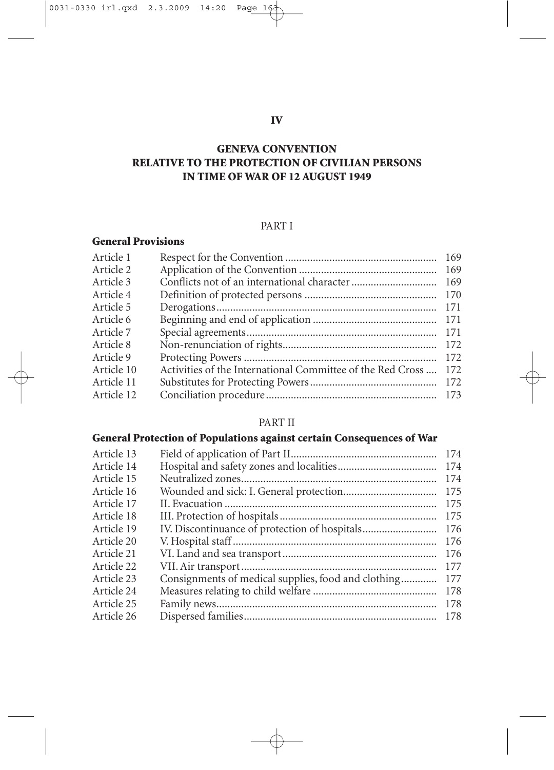## **IV**

## **GENEVA CONVENTION RELATIVE TO THE PROTECTION OF CIVILIAN PERSONS IN TIME OF WAR OF 12 AUGUST 1949**

## PART I

# **General Provisions**

| Article 1  |                                                            | 169   |
|------------|------------------------------------------------------------|-------|
| Article 2  |                                                            | 169   |
| Article 3  |                                                            | 169   |
| Article 4  |                                                            | 170   |
| Article 5  |                                                            | 171   |
| Article 6  |                                                            | 171   |
| Article 7  |                                                            | 171   |
| Article 8  |                                                            |       |
| Article 9  |                                                            | 172   |
| Article 10 | Activities of the International Committee of the Red Cross | 172   |
| Article 11 |                                                            | - 172 |
| Article 12 |                                                            |       |
|            |                                                            |       |

## PART II

## **General Protection of Populations against certain Consequences of War**

| Article 13 |                                                     | 174 |
|------------|-----------------------------------------------------|-----|
| Article 14 |                                                     | 174 |
| Article 15 |                                                     | 174 |
| Article 16 |                                                     | 175 |
| Article 17 |                                                     | 175 |
| Article 18 |                                                     | 175 |
| Article 19 | IV. Discontinuance of protection of hospitals       | 176 |
| Article 20 |                                                     | 176 |
| Article 21 |                                                     | 176 |
| Article 22 |                                                     | 177 |
| Article 23 | Consignments of medical supplies, food and clothing | 177 |
| Article 24 |                                                     | 178 |
| Article 25 |                                                     | 178 |
| Article 26 |                                                     | 178 |
|            |                                                     |     |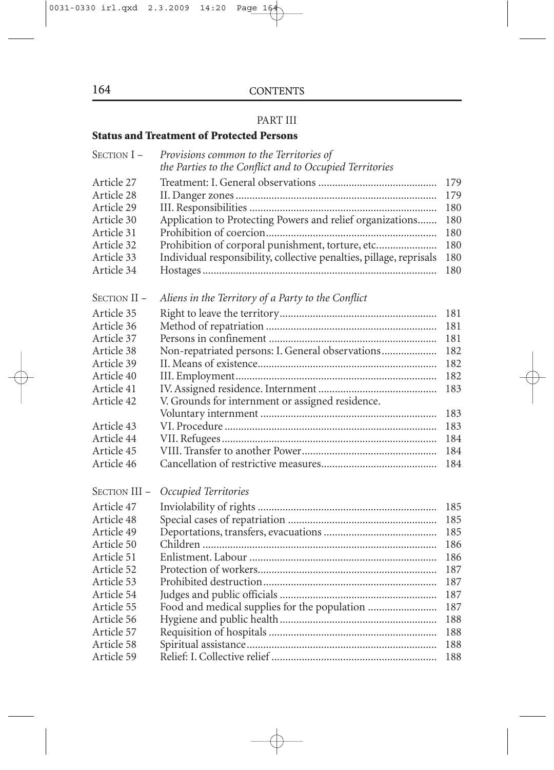## PART III

# **Status and Treatment of Protected Persons**

| SECTION I-    | Provisions common to the Territories of<br>the Parties to the Conflict and to Occupied Territories |     |
|---------------|----------------------------------------------------------------------------------------------------|-----|
| Article 27    |                                                                                                    | 179 |
| Article 28    |                                                                                                    | 179 |
| Article 29    |                                                                                                    | 180 |
| Article 30    | Application to Protecting Powers and relief organizations                                          | 180 |
| Article 31    |                                                                                                    | 180 |
| Article 32    | Prohibition of corporal punishment, torture, etc                                                   | 180 |
| Article 33    | Individual responsibility, collective penalties, pillage, reprisals                                | 180 |
| Article 34    |                                                                                                    | 180 |
| SECTION II -  | Aliens in the Territory of a Party to the Conflict                                                 |     |
| Article 35    |                                                                                                    | 181 |
| Article 36    |                                                                                                    | 181 |
| Article 37    |                                                                                                    | 181 |
| Article 38    | Non-repatriated persons: I. General observations                                                   | 182 |
| Article 39    |                                                                                                    | 182 |
| Article 40    |                                                                                                    | 182 |
| Article 41    |                                                                                                    | 183 |
| Article 42    | V. Grounds for internment or assigned residence.                                                   |     |
|               |                                                                                                    | 183 |
| Article 43    |                                                                                                    | 183 |
| Article 44    |                                                                                                    | 184 |
| Article 45    |                                                                                                    | 184 |
| Article 46    |                                                                                                    | 184 |
| SECTION III – | Occupied Territories                                                                               |     |
| Article 47    |                                                                                                    | 185 |
| Article 48    |                                                                                                    | 185 |
| Article 49    |                                                                                                    | 185 |
| Article 50    |                                                                                                    | 186 |
| Article 51    |                                                                                                    | 186 |
| Article 52    |                                                                                                    | 187 |
| Article 53    |                                                                                                    | 187 |
| Article 54    |                                                                                                    | 187 |
| Article 55    |                                                                                                    | 187 |
| Article 56    |                                                                                                    | 188 |
| Article 57    |                                                                                                    | 188 |
| Article 58    |                                                                                                    | 188 |
| Article 59    |                                                                                                    | 188 |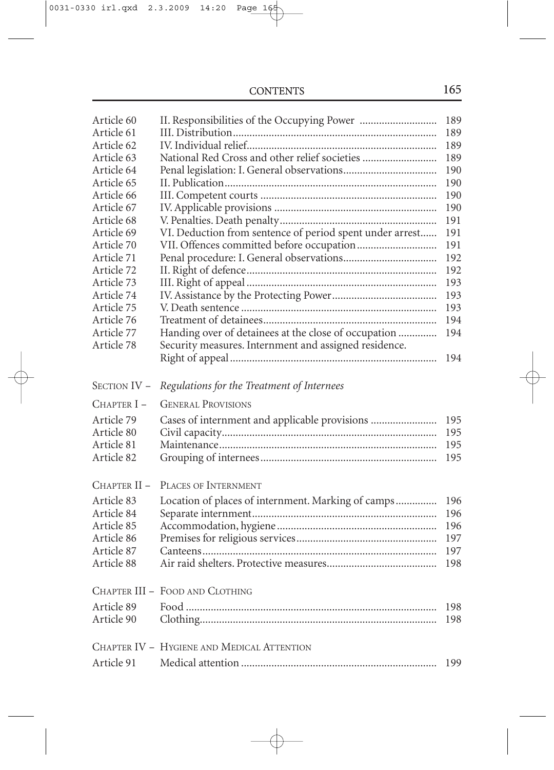| Article 60   |                                                          | 189 |
|--------------|----------------------------------------------------------|-----|
| Article 61   |                                                          | 189 |
| Article 62   |                                                          | 189 |
| Article 63   | National Red Cross and other relief societies            | 189 |
| Article 64   |                                                          | 190 |
| Article 65   |                                                          | 190 |
| Article 66   |                                                          | 190 |
| Article 67   |                                                          | 190 |
| Article 68   |                                                          | 191 |
| Article 69   | VI. Deduction from sentence of period spent under arrest | 191 |
| Article 70   |                                                          | 191 |
| Article 71   |                                                          | 192 |
| Article 72   |                                                          | 192 |
| Article 73   |                                                          | 193 |
| Article 74   |                                                          | 193 |
| Article 75   |                                                          | 193 |
| Article 76   |                                                          | 194 |
| Article 77   | Handing over of detainees at the close of occupation     | 194 |
| Article 78   | Security measures. Internment and assigned residence.    |     |
|              |                                                          | 194 |
| SECTION IV - | Regulations for the Treatment of Internees               |     |
| CHAPTER I -  | <b>GENERAL PROVISIONS</b>                                |     |
| Article 79   | Cases of internment and applicable provisions            | 195 |
| Article 80   |                                                          | 195 |
| Article 81   |                                                          | 195 |
| Article 82   |                                                          | 195 |
| CHAPTER II - | PLACES OF INTERNMENT                                     |     |
| Article 83   | Location of places of internment. Marking of camps       | 196 |
| Article 84   |                                                          | 196 |
| Article 85   |                                                          | 196 |
| Article 86   |                                                          | 197 |
| Article 87   |                                                          | 197 |
| Article 88   |                                                          | 198 |
|              |                                                          |     |
|              | CHAPTER III - FOOD AND CLOTHING                          |     |
| Article 89   |                                                          | 198 |
| Article 90   |                                                          | 198 |
|              | CHAPTER IV - HYGIENE AND MEDICAL ATTENTION               |     |
| Article 91   |                                                          | 199 |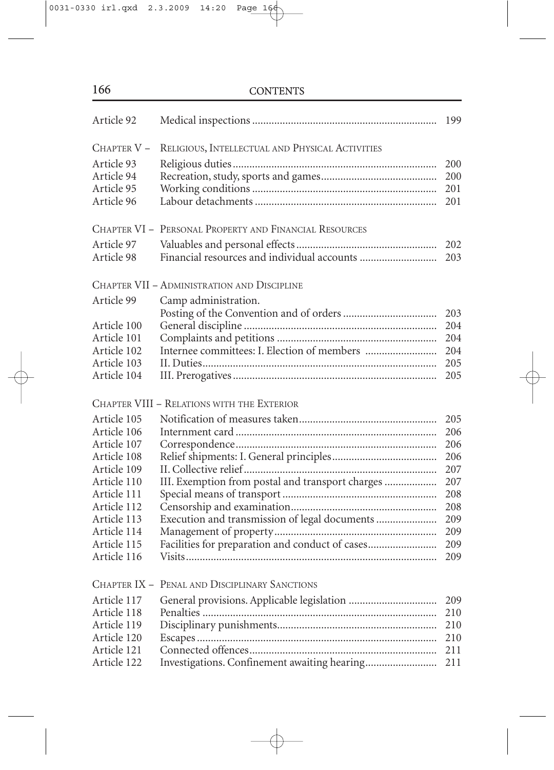| Article 92   |                                                   | 199 |
|--------------|---------------------------------------------------|-----|
|              |                                                   |     |
| CHAPTER V -  | RELIGIOUS, INTELLECTUAL AND PHYSICAL ACTIVITIES   |     |
| Article 93   |                                                   | 200 |
| Article 94   |                                                   | 200 |
| Article 95   |                                                   | 201 |
| Article 96   |                                                   | 201 |
|              |                                                   |     |
| CHAPTER VI - | PERSONAL PROPERTY AND FINANCIAL RESOURCES         |     |
| Article 97   |                                                   | 202 |
| Article 98   |                                                   | 203 |
|              |                                                   |     |
|              | CHAPTER VII - ADMINISTRATION AND DISCIPLINE       |     |
| Article 99   | Camp administration.                              |     |
|              |                                                   | 203 |
| Article 100  |                                                   | 204 |
| Article 101  |                                                   | 204 |
| Article 102  |                                                   | 204 |
| Article 103  |                                                   | 205 |
| Article 104  |                                                   | 205 |
|              |                                                   |     |
|              | <b>CHAPTER VIII - RELATIONS WITH THE EXTERIOR</b> |     |
| Article 105  |                                                   | 205 |
| Article 106  |                                                   | 206 |
| Article 107  |                                                   | 206 |
| Article 108  |                                                   | 206 |
| Article 109  |                                                   | 207 |
| Article 110  | III. Exemption from postal and transport charges  | 207 |
| Article 111  |                                                   | 208 |
| Article 112  |                                                   | 208 |
| Article 113  |                                                   | 209 |
| Article 114  |                                                   | 209 |
| Article 115  | Facilities for preparation and conduct of cases   | 209 |
| Article 116  |                                                   | 209 |
| CHAPTER IX - | PENAL AND DISCIPLINARY SANCTIONS                  |     |
| Article 117  |                                                   | 209 |
| Article 118  |                                                   | 210 |
| Article 119  |                                                   | 210 |
| Article 120  |                                                   | 210 |
| Article 121  |                                                   | 211 |
| Article 122  |                                                   | 211 |
|              |                                                   |     |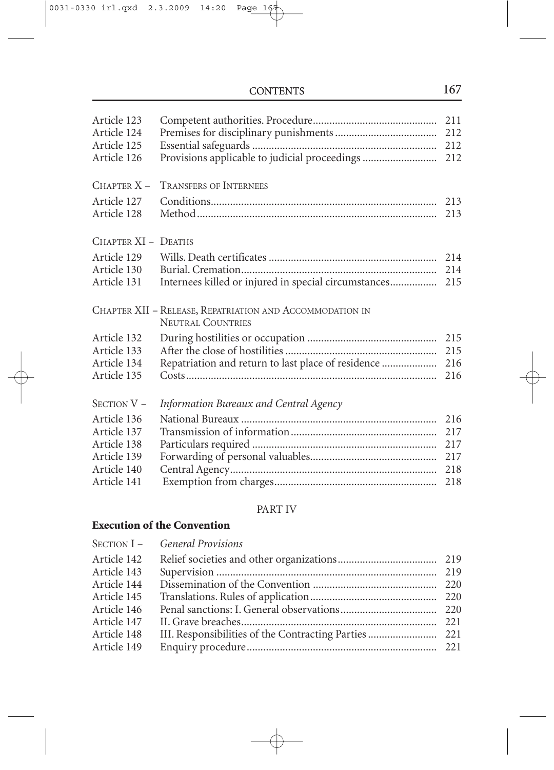| Article 123<br>Article 124<br>Article 125<br>Article 126                               |                                                                                      | 211<br>212<br>212<br>212               |
|----------------------------------------------------------------------------------------|--------------------------------------------------------------------------------------|----------------------------------------|
| CHAPTER X -<br>Article 127<br>Article 128                                              | <b>TRANSFERS OF INTERNEES</b>                                                        | 213<br>213                             |
| CHAPTER XI - DEATHS<br>Article 129                                                     |                                                                                      | 214                                    |
| Article 130<br>Article 131                                                             | Internees killed or injured in special circumstances                                 | 214<br>215                             |
|                                                                                        | CHAPTER XII - RELEASE, REPATRIATION AND ACCOMMODATION IN<br><b>NEUTRAL COUNTRIES</b> |                                        |
| Article 132<br>Article 133<br>Article 134<br>Article 135                               | Repatriation and return to last place of residence                                   | 215<br>215<br>216<br>216               |
| SECTION V -                                                                            | Information Bureaux and Central Agency                                               |                                        |
| Article 136<br>Article 137<br>Article 138<br>Article 139<br>Article 140<br>Article 141 |                                                                                      | 216<br>217<br>217<br>217<br>218<br>218 |

# PART IV

# **Execution of the Convention**

|             | SECTION I - General Provisions |  |
|-------------|--------------------------------|--|
| Article 142 |                                |  |
| Article 143 |                                |  |
| Article 144 |                                |  |
| Article 145 |                                |  |
| Article 146 |                                |  |
| Article 147 |                                |  |
| Article 148 |                                |  |
| Article 149 |                                |  |
|             |                                |  |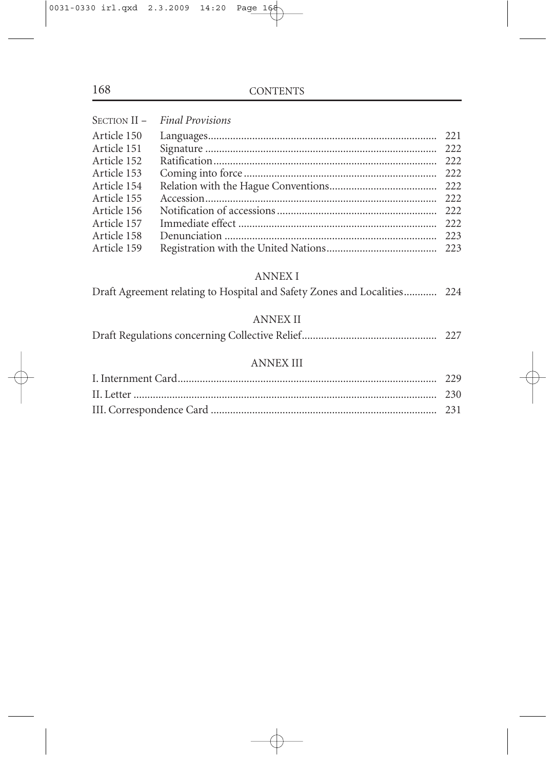|             | SECTION II - Final Provisions |       |
|-------------|-------------------------------|-------|
| Article 150 |                               | 2.2.1 |
| Article 151 |                               | 222   |
| Article 152 |                               | 222   |
| Article 153 |                               | 222   |
| Article 154 |                               |       |
| Article 155 |                               | 222   |
| Article 156 |                               |       |
| Article 157 |                               | 222   |
| Article 158 |                               | 223   |
| Article 159 |                               |       |
|             |                               |       |

## ANNEX I

## ANNEX II

|--|--|--|

## ANNEX III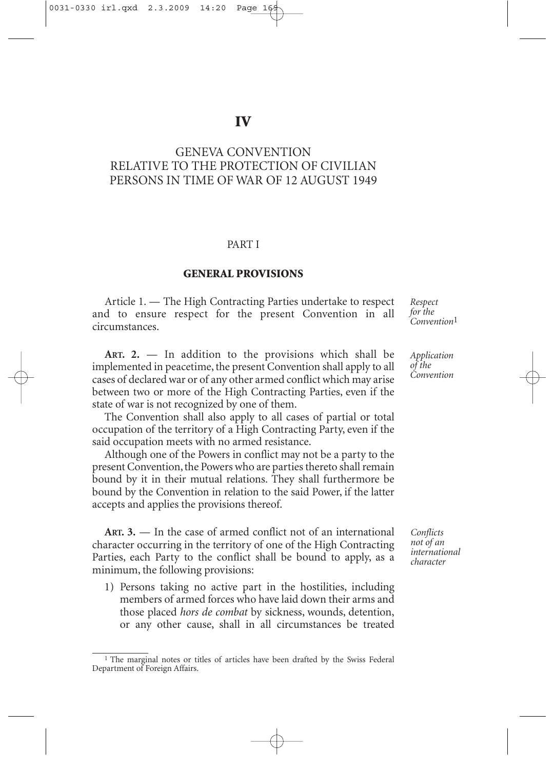## **IV**

## GENEVA CONVENTION RELATIVE TO THE PROTECTION OF CIVILIAN PERSONS IN TIME OF WAR OF 12 AUGUST 1949

### PART I

### **GENERAL PROVISIONS**

Article 1. — The High Contracting Parties undertake to respect and to ensure respect for the present Convention in all circumstances.

**ART. 2.** — In addition to the provisions which shall be implemented in peacetime, the present Convention shall apply to all cases of declared war or of any other armed conflict which may arise between two or more of the High Contracting Parties, even if the state of war is not recognized by one of them.

The Convention shall also apply to all cases of partial or total occupation of the territory of a High Contracting Party, even if the said occupation meets with no armed resistance.

Although one of the Powers in conflict may not be a party to the present Convention, the Powers who are parties thereto shall remain bound by it in their mutual relations. They shall furthermore be bound by the Convention in relation to the said Power, if the latter accepts and applies the provisions thereof.

**ART. 3.** — In the case of armed conflict not of an international character occurring in the territory of one of the High Contracting Parties, each Party to the conflict shall be bound to apply, as a minimum, the following provisions:

1) Persons taking no active part in the hostilities, including members of armed forces who have laid down their arms and those placed *hors de combat* by sickness, wounds, detention, or any other cause, shall in all circumstances be treated *Respect for the Convention*1

*Application of the Convention*

*Conflicts not of an international character*

<sup>&</sup>lt;sup>1</sup> The marginal notes or titles of articles have been drafted by the Swiss Federal Department of Foreign Affairs.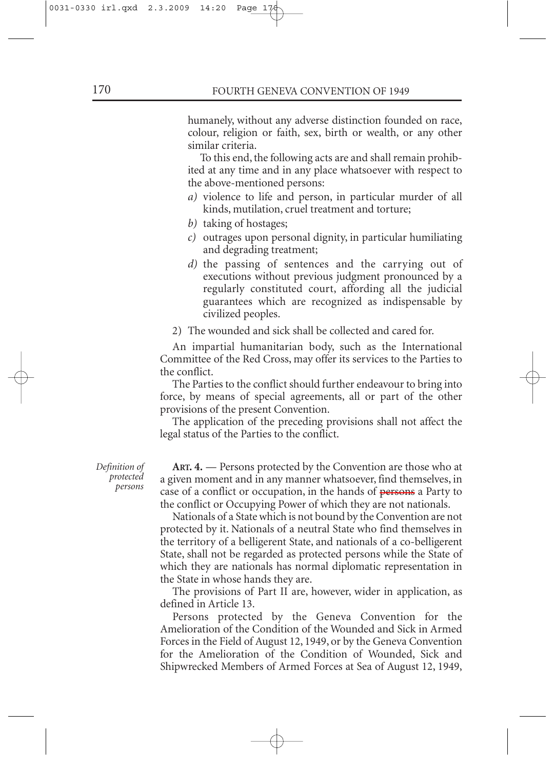humanely, without any adverse distinction founded on race, colour, religion or faith, sex, birth or wealth, or any other similar criteria.

To this end, the following acts are and shall remain prohibited at any time and in any place whatsoever with respect to the above-mentioned persons:

- *a)* violence to life and person, in particular murder of all kinds, mutilation, cruel treatment and torture;
- *b)* taking of hostages;
- *c)* outrages upon personal dignity, in particular humiliating and degrading treatment;
- *d)* the passing of sentences and the carrying out of executions without previous judgment pronounced by a regularly constituted court, affording all the judicial guarantees which are recognized as indispensable by civilized peoples.
- 2) The wounded and sick shall be collected and cared for.

An impartial humanitarian body, such as the International Committee of the Red Cross, may offer its services to the Parties to the conflict.

The Parties to the conflict should further endeavour to bring into force, by means of special agreements, all or part of the other provisions of the present Convention.

The application of the preceding provisions shall not affect the legal status of the Parties to the conflict.

**ART. 4.** — Persons protected by the Convention are those who at a given moment and in any manner whatsoever, find themselves, in case of a conflict or occupation, in the hands of persons a Party to the conflict or Occupying Power of which they are not nationals.

Nationals of a State which is not bound by the Convention are not protected by it. Nationals of a neutral State who find themselves in the territory of a belligerent State, and nationals of a co-belligerent State, shall not be regarded as protected persons while the State of which they are nationals has normal diplomatic representation in the State in whose hands they are.

The provisions of Part II are, however, wider in application, as defined in Article 13.

Persons protected by the Geneva Convention for the Amelioration of the Condition of the Wounded and Sick in Armed Forces in the Field of August 12, 1949, or by the Geneva Convention for the Amelioration of the Condition of Wounded, Sick and Shipwrecked Members of Armed Forces at Sea of August 12, 1949,

*Definition of protected persons*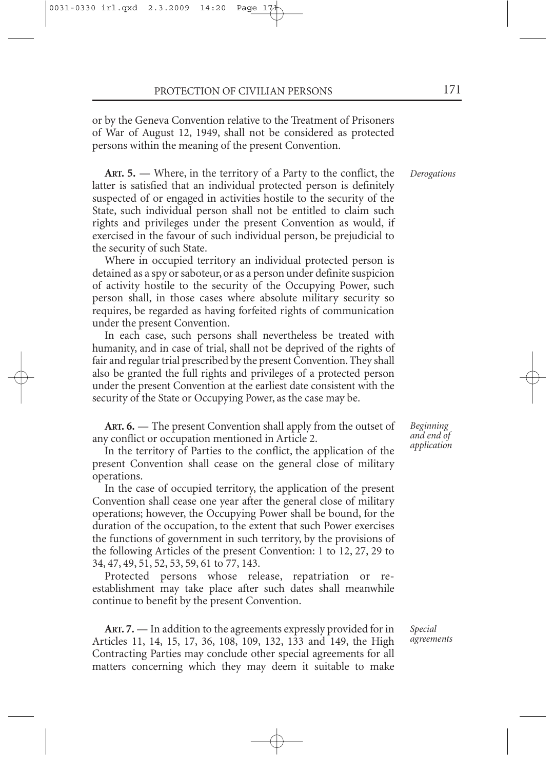or by the Geneva Convention relative to the Treatment of Prisoners of War of August 12, 1949, shall not be considered as protected persons within the meaning of the present Convention.

**ART. 5.** — Where, in the territory of a Party to the conflict, the latter is satisfied that an individual protected person is definitely suspected of or engaged in activities hostile to the security of the State, such individual person shall not be entitled to claim such rights and privileges under the present Convention as would, if exercised in the favour of such individual person, be prejudicial to the security of such State.

Where in occupied territory an individual protected person is detained as a spy or saboteur, or as a person under definite suspicion of activity hostile to the security of the Occupying Power, such person shall, in those cases where absolute military security so requires, be regarded as having forfeited rights of communication under the present Convention.

In each case, such persons shall nevertheless be treated with humanity, and in case of trial, shall not be deprived of the rights of fair and regular trial prescribed by the present Convention. They shall also be granted the full rights and privileges of a protected person under the present Convention at the earliest date consistent with the security of the State or Occupying Power, as the case may be.

**ART. 6.** — The present Convention shall apply from the outset of any conflict or occupation mentioned in Article 2.

In the territory of Parties to the conflict, the application of the present Convention shall cease on the general close of military operations.

In the case of occupied territory, the application of the present Convention shall cease one year after the general close of military operations; however, the Occupying Power shall be bound, for the duration of the occupation, to the extent that such Power exercises the functions of government in such territory, by the provisions of the following Articles of the present Convention: 1 to 12, 27, 29 to 34, 47, 49, 51, 52, 53, 59, 61 to 77, 143.

Protected persons whose release, repatriation or reestablishment may take place after such dates shall meanwhile continue to benefit by the present Convention.

**ART. 7.** — In addition to the agreements expressly provided for in Articles 11, 14, 15, 17, 36, 108, 109, 132, 133 and 149, the High Contracting Parties may conclude other special agreements for all matters concerning which they may deem it suitable to make

*Beginning and end of application*

*Derogations*

*Special agreements*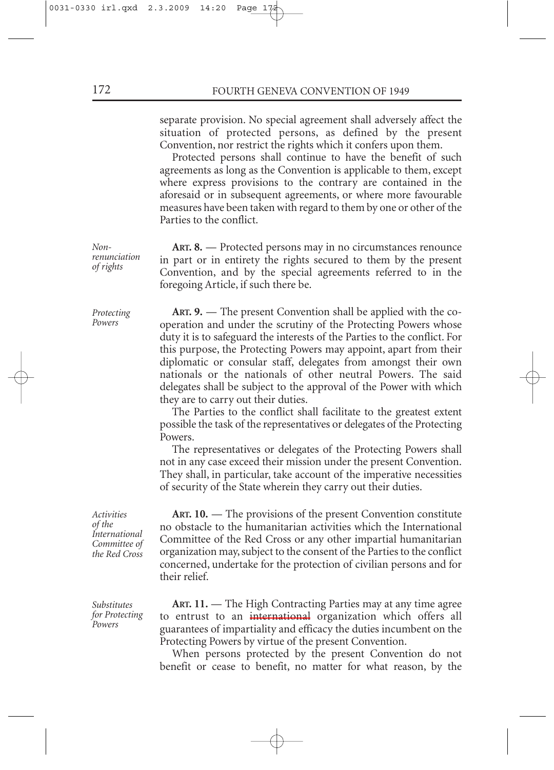separate provision. No special agreement shall adversely affect the situation of protected persons, as defined by the present Convention, nor restrict the rights which it confers upon them.

Protected persons shall continue to have the benefit of such agreements as long as the Convention is applicable to them, except where express provisions to the contrary are contained in the aforesaid or in subsequent agreements, or where more favourable measures have been taken with regard to them by one or other of the Parties to the conflict.

**ART. 8.** — Protected persons may in no circumstances renounce in part or in entirety the rights secured to them by the present Convention, and by the special agreements referred to in the foregoing Article, if such there be.

**ART. 9.** — The present Convention shall be applied with the cooperation and under the scrutiny of the Protecting Powers whose duty it is to safeguard the interests of the Parties to the conflict. For this purpose, the Protecting Powers may appoint, apart from their diplomatic or consular staff, delegates from amongst their own nationals or the nationals of other neutral Powers. The said delegates shall be subject to the approval of the Power with which they are to carry out their duties.

The Parties to the conflict shall facilitate to the greatest extent possible the task of the representatives or delegates of the Protecting Powers.

The representatives or delegates of the Protecting Powers shall not in any case exceed their mission under the present Convention. They shall, in particular, take account of the imperative necessities of security of the State wherein they carry out their duties.

*Activities of the International Committee of the Red Cross*

*Substitutes for Protecting Powers*

**ART. 10.** — The provisions of the present Convention constitute no obstacle to the humanitarian activities which the International Committee of the Red Cross or any other impartial humanitarian organization may,subject to the consent of the Parties to the conflict concerned, undertake for the protection of civilian persons and for their relief.

**ART. 11.** — The High Contracting Parties may at any time agree to entrust to an international organization which offers all guarantees of impartiality and efficacy the duties incumbent on the Protecting Powers by virtue of the present Convention.

When persons protected by the present Convention do not benefit or cease to benefit, no matter for what reason, by the

*Nonrenunciation of rights*

*Protecting Powers*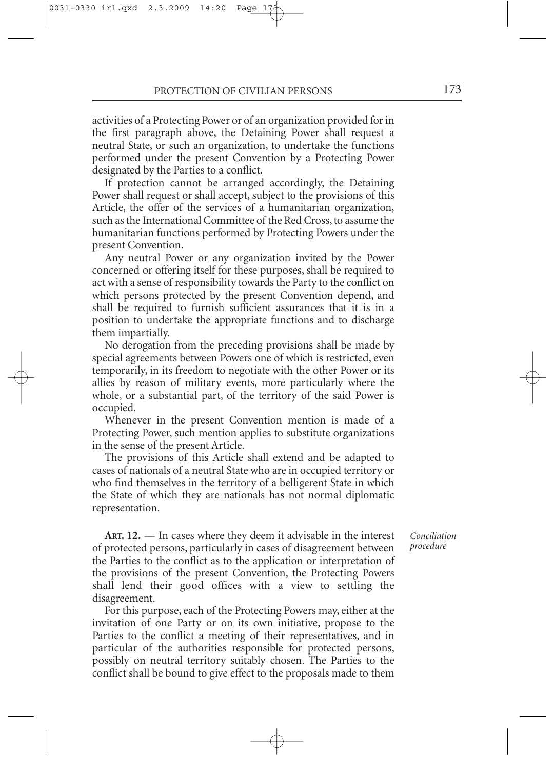activities of a Protecting Power or of an organization provided for in the first paragraph above, the Detaining Power shall request a neutral State, or such an organization, to undertake the functions performed under the present Convention by a Protecting Power designated by the Parties to a conflict.

If protection cannot be arranged accordingly, the Detaining Power shall request or shall accept, subject to the provisions of this Article, the offer of the services of a humanitarian organization, such as the International Committee of the Red Cross, to assume the humanitarian functions performed by Protecting Powers under the present Convention.

Any neutral Power or any organization invited by the Power concerned or offering itself for these purposes, shall be required to act with a sense of responsibility towards the Party to the conflict on which persons protected by the present Convention depend, and shall be required to furnish sufficient assurances that it is in a position to undertake the appropriate functions and to discharge them impartially.

No derogation from the preceding provisions shall be made by special agreements between Powers one of which is restricted, even temporarily, in its freedom to negotiate with the other Power or its allies by reason of military events, more particularly where the whole, or a substantial part, of the territory of the said Power is occupied.

Whenever in the present Convention mention is made of a Protecting Power, such mention applies to substitute organizations in the sense of the present Article.

The provisions of this Article shall extend and be adapted to cases of nationals of a neutral State who are in occupied territory or who find themselves in the territory of a belligerent State in which the State of which they are nationals has not normal diplomatic representation.

**ART. 12.** — In cases where they deem it advisable in the interest of protected persons, particularly in cases of disagreement between the Parties to the conflict as to the application or interpretation of the provisions of the present Convention, the Protecting Powers shall lend their good offices with a view to settling the disagreement.

For this purpose, each of the Protecting Powers may, either at the invitation of one Party or on its own initiative, propose to the Parties to the conflict a meeting of their representatives, and in particular of the authorities responsible for protected persons, possibly on neutral territory suitably chosen. The Parties to the conflict shall be bound to give effect to the proposals made to them *Conciliation procedure*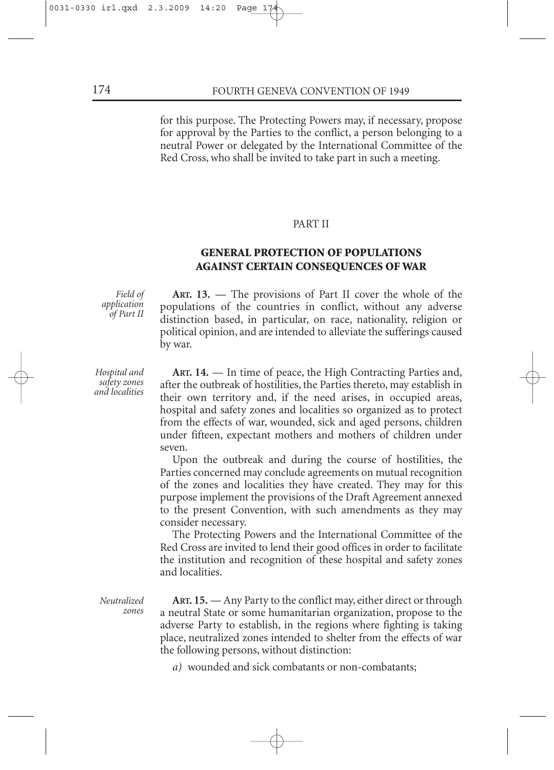for this purpose. The Protecting Powers may, if necessary, propose for approval by the Parties to the conflict, a person belonging to a neutral Power or delegated by the International Committee of the Red Cross, who shall be invited to take part in such a meeting.

## PART II

## **GENERAL PROTECTION OF POPULATIONS AGAINST CERTAIN CONSEQUENCES OF WAR**

*Field of application of Part II*

**ART. 13.** — The provisions of Part II cover the whole of the populations of the countries in conflict, without any adverse distinction based, in particular, on race, nationality, religion or political opinion, and are intended to alleviate the sufferings caused by war.

*Hospital and safety zones and localities*

**ART. 14.** — In time of peace, the High Contracting Parties and, after the outbreak of hostilities, the Parties thereto, may establish in their own territory and, if the need arises, in occupied areas, hospital and safety zones and localities so organized as to protect from the effects of war, wounded, sick and aged persons, children under fifteen, expectant mothers and mothers of children under seven.

Upon the outbreak and during the course of hostilities, the Parties concerned may conclude agreements on mutual recognition of the zones and localities they have created. They may for this purpose implement the provisions of the Draft Agreement annexed to the present Convention, with such amendments as they may consider necessary.

The Protecting Powers and the International Committee of the Red Cross are invited to lend their good offices in order to facilitate the institution and recognition of these hospital and safety zones and localities.

*Neutralized zones*

**ART. 15.** — Any Party to the conflict may, either direct or through a neutral State or some humanitarian organization, propose to the adverse Party to establish, in the regions where fighting is taking place, neutralized zones intended to shelter from the effects of war the following persons, without distinction:

*a)* wounded and sick combatants or non-combatants;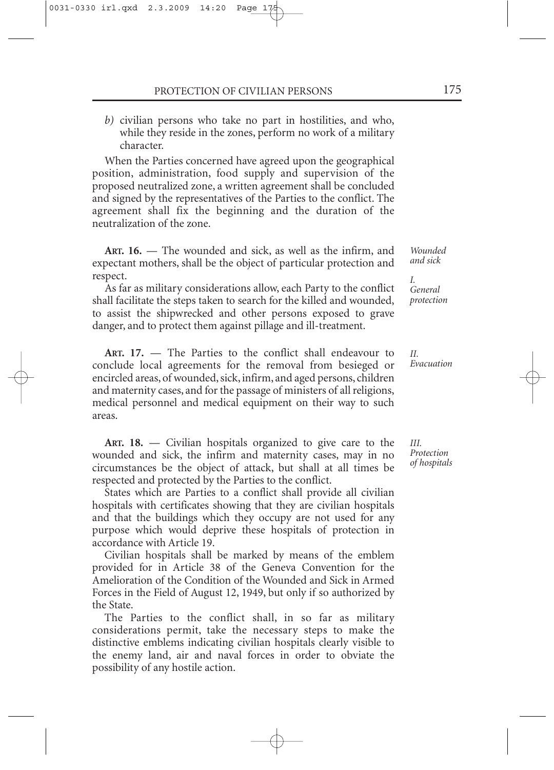*b)* civilian persons who take no part in hostilities, and who, while they reside in the zones, perform no work of a military character.

When the Parties concerned have agreed upon the geographical position, administration, food supply and supervision of the proposed neutralized zone, a written agreement shall be concluded and signed by the representatives of the Parties to the conflict. The agreement shall fix the beginning and the duration of the neutralization of the zone.

**ART. 16.** — The wounded and sick, as well as the infirm, and expectant mothers, shall be the object of particular protection and respect.

As far as military considerations allow, each Party to the conflict shall facilitate the steps taken to search for the killed and wounded, to assist the shipwrecked and other persons exposed to grave danger, and to protect them against pillage and ill-treatment.

**ART. 17.** — The Parties to the conflict shall endeavour to conclude local agreements for the removal from besieged or encircled areas, of wounded, sick, infirm, and aged persons, children and maternity cases, and for the passage of ministers of all religions, medical personnel and medical equipment on their way to such areas.

**ART. 18.** — Civilian hospitals organized to give care to the wounded and sick, the infirm and maternity cases, may in no circumstances be the object of attack, but shall at all times be respected and protected by the Parties to the conflict.

States which are Parties to a conflict shall provide all civilian hospitals with certificates showing that they are civilian hospitals and that the buildings which they occupy are not used for any purpose which would deprive these hospitals of protection in accordance with Article 19.

Civilian hospitals shall be marked by means of the emblem provided for in Article 38 of the Geneva Convention for the Amelioration of the Condition of the Wounded and Sick in Armed Forces in the Field of August 12, 1949, but only if so authorized by the State.

The Parties to the conflict shall, in so far as military considerations permit, take the necessary steps to make the distinctive emblems indicating civilian hospitals clearly visible to the enemy land, air and naval forces in order to obviate the possibility of any hostile action.

*Wounded and sick*

*I. General protection*

*II. Evacuation*

*III. Protection of hospitals*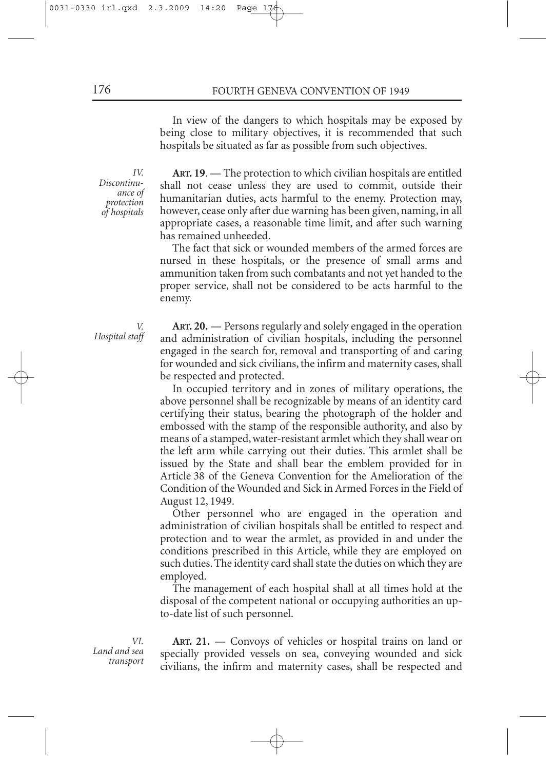In view of the dangers to which hospitals may be exposed by being close to military objectives, it is recommended that such hospitals be situated as far as possible from such objectives.

*IV. Discontinuance of protection of hospitals*

**ART. 19**. — The protection to which civilian hospitals are entitled shall not cease unless they are used to commit, outside their humanitarian duties, acts harmful to the enemy. Protection may, however, cease only after due warning has been given, naming, in all appropriate cases, a reasonable time limit, and after such warning has remained unheeded.

The fact that sick or wounded members of the armed forces are nursed in these hospitals, or the presence of small arms and ammunition taken from such combatants and not yet handed to the proper service, shall not be considered to be acts harmful to the enemy.

*V. Hospital staff*

**ART. 20.** — Persons regularly and solely engaged in the operation and administration of civilian hospitals, including the personnel engaged in the search for, removal and transporting of and caring for wounded and sick civilians, the infirm and maternity cases, shall be respected and protected.

In occupied territory and in zones of military operations, the above personnel shall be recognizable by means of an identity card certifying their status, bearing the photograph of the holder and embossed with the stamp of the responsible authority, and also by means of a stamped, water-resistant armlet which they shall wear on the left arm while carrying out their duties. This armlet shall be issued by the State and shall bear the emblem provided for in Article 38 of the Geneva Convention for the Amelioration of the Condition of the Wounded and Sick in Armed Forces in the Field of August 12, 1949.

Other personnel who are engaged in the operation and administration of civilian hospitals shall be entitled to respect and protection and to wear the armlet, as provided in and under the conditions prescribed in this Article, while they are employed on such duties. The identity card shall state the duties on which they are employed.

The management of each hospital shall at all times hold at the disposal of the competent national or occupying authorities an upto-date list of such personnel.

*VI. Land and sea transport*

**ART. 21.** — Convoys of vehicles or hospital trains on land or specially provided vessels on sea, conveying wounded and sick civilians, the infirm and maternity cases, shall be respected and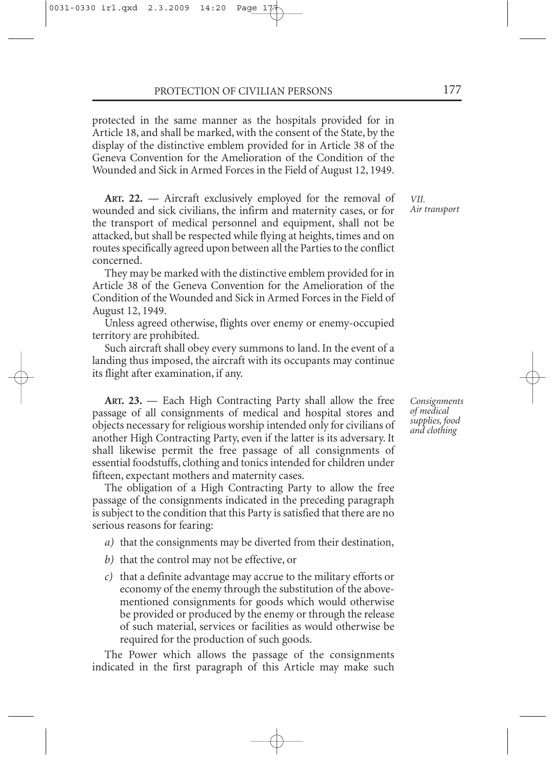protected in the same manner as the hospitals provided for in Article 18, and shall be marked, with the consent of the State, by the display of the distinctive emblem provided for in Article 38 of the Geneva Convention for the Amelioration of the Condition of the Wounded and Sick in Armed Forces in the Field of August 12, 1949.

**ART. 22.** — Aircraft exclusively employed for the removal of wounded and sick civilians, the infirm and maternity cases, or for the transport of medical personnel and equipment, shall not be attacked, but shall be respected while flying at heights, times and on routes specifically agreed upon between all the Parties to the conflict concerned.

They may be marked with the distinctive emblem provided for in Article 38 of the Geneva Convention for the Amelioration of the Condition of the Wounded and Sick in Armed Forces in the Field of August 12, 1949.

Unless agreed otherwise, flights over enemy or enemy-occupied territory are prohibited.

Such aircraft shall obey every summons to land. In the event of a landing thus imposed, the aircraft with its occupants may continue its flight after examination, if any.

**ART. 23.** — Each High Contracting Party shall allow the free passage of all consignments of medical and hospital stores and objects necessary for religious worship intended only for civilians of another High Contracting Party, even if the latter is its adversary. It shall likewise permit the free passage of all consignments of essential foodstuffs, clothing and tonics intended for children under fifteen, expectant mothers and maternity cases.

The obligation of a High Contracting Party to allow the free passage of the consignments indicated in the preceding paragraph is subject to the condition that this Party is satisfied that there are no serious reasons for fearing:

- *a)* that the consignments may be diverted from their destination,
- *b)* that the control may not be effective, or
- *c)* that a definite advantage may accrue to the military efforts or economy of the enemy through the substitution of the abovementioned consignments for goods which would otherwise be provided or produced by the enemy or through the release of such material, services or facilities as would otherwise be required for the production of such goods.

The Power which allows the passage of the consignments indicated in the first paragraph of this Article may make such

*VII. Air transport*

*Consignments of medical supplies, food and clothing*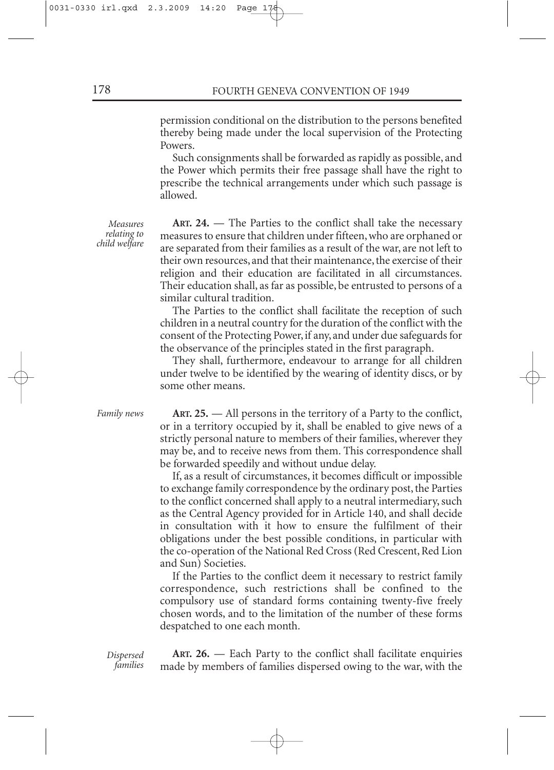permission conditional on the distribution to the persons benefited thereby being made under the local supervision of the Protecting Powers.

Such consignments shall be forwarded as rapidly as possible, and the Power which permits their free passage shall have the right to prescribe the technical arrangements under which such passage is allowed.

*Measures relating to child welfare*

**ART. 24.** — The Parties to the conflict shall take the necessary measures to ensure that children under fifteen, who are orphaned or are separated from their families as a result of the war, are not left to their own resources, and that their maintenance, the exercise of their religion and their education are facilitated in all circumstances. Their education shall, as far as possible, be entrusted to persons of a similar cultural tradition.

The Parties to the conflict shall facilitate the reception of such children in a neutral country for the duration of the conflict with the consent of the Protecting Power, if any, and under due safeguards for the observance of the principles stated in the first paragraph.

They shall, furthermore, endeavour to arrange for all children under twelve to be identified by the wearing of identity discs, or by some other means.

#### *Family news*

**ART. 25.** — All persons in the territory of a Party to the conflict, or in a territory occupied by it, shall be enabled to give news of a strictly personal nature to members of their families, wherever they may be, and to receive news from them. This correspondence shall be forwarded speedily and without undue delay.

If, as a result of circumstances, it becomes difficult or impossible to exchange family correspondence by the ordinary post, the Parties to the conflict concerned shall apply to a neutral intermediary, such as the Central Agency provided for in Article 140, and shall decide in consultation with it how to ensure the fulfilment of their obligations under the best possible conditions, in particular with the co-operation of the National Red Cross (Red Crescent, Red Lion and Sun) Societies.

If the Parties to the conflict deem it necessary to restrict family correspondence, such restrictions shall be confined to the compulsory use of standard forms containing twenty-five freely chosen words, and to the limitation of the number of these forms despatched to one each month.

**ART. 26.** — Each Party to the conflict shall facilitate enquiries made by members of families dispersed owing to the war, with the

*Dispersed families*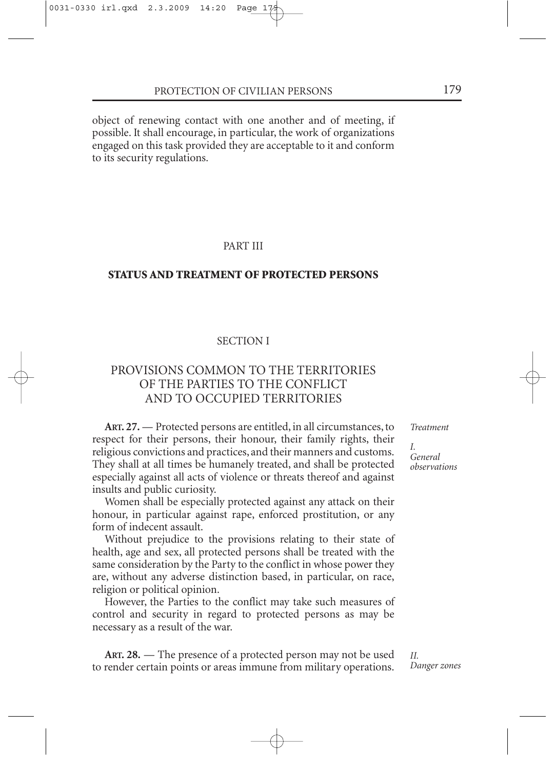object of renewing contact with one another and of meeting, if possible. It shall encourage, in particular, the work of organizations engaged on this task provided they are acceptable to it and conform to its security regulations.

#### PART III

### **STATUS AND TREATMENT OF PROTECTED PERSONS**

## SECTION I

## PROVISIONS COMMON TO THE TERRITORIES OF THE PARTIES TO THE CONFLICT AND TO OCCUPIED TERRITORIES

**ART. 27.**— Protected persons are entitled, in all circumstances, to respect for their persons, their honour, their family rights, their religious convictions and practices, and their manners and customs. They shall at all times be humanely treated, and shall be protected especially against all acts of violence or threats thereof and against insults and public curiosity.

Women shall be especially protected against any attack on their honour, in particular against rape, enforced prostitution, or any form of indecent assault.

Without prejudice to the provisions relating to their state of health, age and sex, all protected persons shall be treated with the same consideration by the Party to the conflict in whose power they are, without any adverse distinction based, in particular, on race, religion or political opinion.

However, the Parties to the conflict may take such measures of control and security in regard to protected persons as may be necessary as a result of the war.

**ART. 28.** — The presence of a protected person may not be used to render certain points or areas immune from military operations.

*Treatment*

*I. General observations*

*II. Danger zones*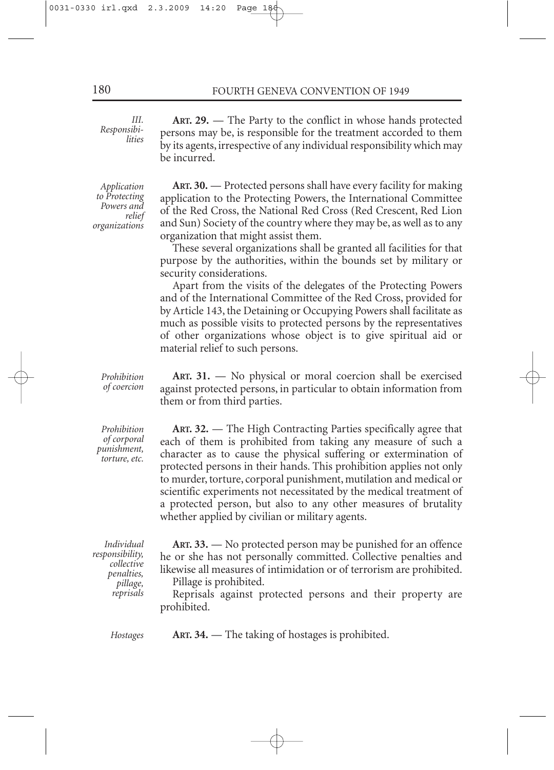*III. Responsibilities*

**ART. 29.** — The Party to the conflict in whose hands protected persons may be, is responsible for the treatment accorded to them by its agents, irrespective of any individual responsibility which may be incurred.

*Application to Protecting Powers and relief organizations*

**ART. 30.** — Protected persons shall have every facility for making application to the Protecting Powers, the International Committee of the Red Cross, the National Red Cross (Red Crescent, Red Lion and Sun) Society of the country where they may be, as well as to any organization that might assist them.

These several organizations shall be granted all facilities for that purpose by the authorities, within the bounds set by military or security considerations.

Apart from the visits of the delegates of the Protecting Powers and of the International Committee of the Red Cross, provided for by Article 143, the Detaining or Occupying Powers shall facilitate as much as possible visits to protected persons by the representatives of other organizations whose object is to give spiritual aid or material relief to such persons.

*Prohibition of coercion*

**ART. 31.** — No physical or moral coercion shall be exercised against protected persons, in particular to obtain information from them or from third parties.

*Prohibition of corporal punishment, torture, etc.*

**ART. 32.** — The High Contracting Parties specifically agree that each of them is prohibited from taking any measure of such a character as to cause the physical suffering or extermination of protected persons in their hands. This prohibition applies not only to murder, torture, corporal punishment, mutilation and medical or scientific experiments not necessitated by the medical treatment of a protected person, but also to any other measures of brutality whether applied by civilian or military agents.

*Individual responsibility, collective penalties, pillage, reprisals*

**ART. 33.** — No protected person may be punished for an offence he or she has not personally committed. Collective penalties and likewise all measures of intimidation or of terrorism are prohibited. Pillage is prohibited.

Reprisals against protected persons and their property are prohibited.

*Hostages*

**ART. 34.** — The taking of hostages is prohibited.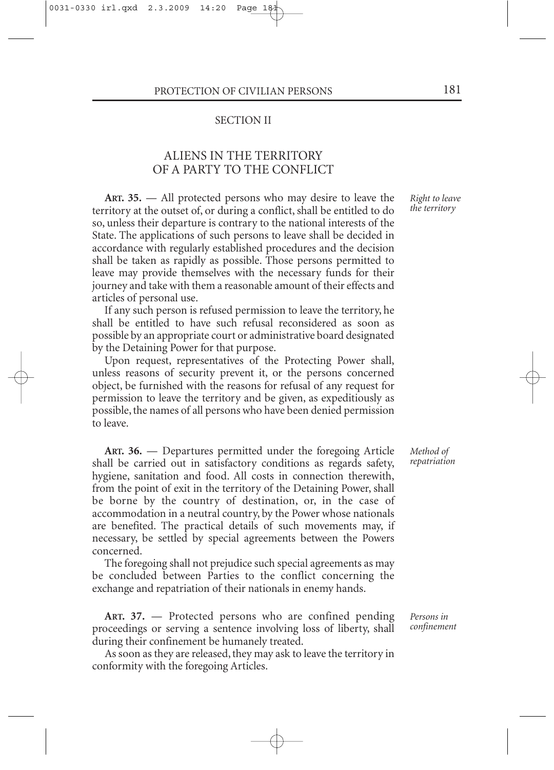### SECTION II

## ALIENS IN THE TERRITORY OF A PARTY TO THE CONFLICT

**ART. 35.** — All protected persons who may desire to leave the territory at the outset of, or during a conflict, shall be entitled to do so, unless their departure is contrary to the national interests of the State. The applications of such persons to leave shall be decided in accordance with regularly established procedures and the decision shall be taken as rapidly as possible. Those persons permitted to leave may provide themselves with the necessary funds for their journey and take with them a reasonable amount of their effects and articles of personal use.

If any such person is refused permission to leave the territory, he shall be entitled to have such refusal reconsidered as soon as possible by an appropriate court or administrative board designated by the Detaining Power for that purpose.

Upon request, representatives of the Protecting Power shall, unless reasons of security prevent it, or the persons concerned object, be furnished with the reasons for refusal of any request for permission to leave the territory and be given, as expeditiously as possible, the names of all persons who have been denied permission to leave.

**ART. 36.** — Departures permitted under the foregoing Article shall be carried out in satisfactory conditions as regards safety, hygiene, sanitation and food. All costs in connection therewith, from the point of exit in the territory of the Detaining Power, shall be borne by the country of destination, or, in the case of accommodation in a neutral country, by the Power whose nationals are benefited. The practical details of such movements may, if necessary, be settled by special agreements between the Powers concerned.

The foregoing shall not prejudice such special agreements as may be concluded between Parties to the conflict concerning the exchange and repatriation of their nationals in enemy hands.

**ART. 37.** — Protected persons who are confined pending proceedings or serving a sentence involving loss of liberty, shall during their confinement be humanely treated.

As soon as they are released, they may ask to leave the territory in conformity with the foregoing Articles.

*Right to leave the territory*

*Method of repatriation*

*Persons in confinement*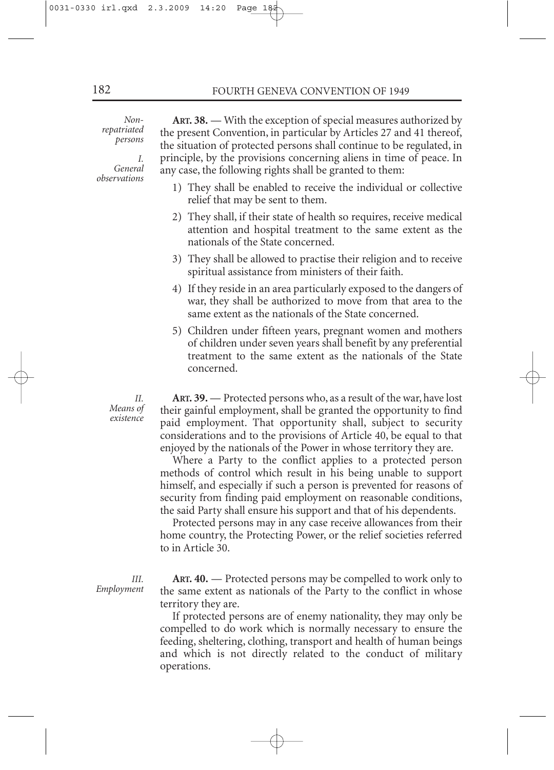*Nonrepatriated persons*

*I. General observations*

**ART. 38.** — With the exception of special measures authorized by the present Convention, in particular by Articles 27 and 41 thereof, the situation of protected persons shall continue to be regulated, in principle, by the provisions concerning aliens in time of peace. In any case, the following rights shall be granted to them:

- 1) They shall be enabled to receive the individual or collective relief that may be sent to them.
- 2) They shall, if their state of health so requires, receive medical attention and hospital treatment to the same extent as the nationals of the State concerned.
- 3) They shall be allowed to practise their religion and to receive spiritual assistance from ministers of their faith.
- 4) If they reside in an area particularly exposed to the dangers of war, they shall be authorized to move from that area to the same extent as the nationals of the State concerned.
- 5) Children under fifteen years, pregnant women and mothers of children under seven years shall benefit by any preferential treatment to the same extent as the nationals of the State concerned.

*II. Means of existence*

**ART. 39.**— Protected persons who, as a result of the war, have lost their gainful employment, shall be granted the opportunity to find paid employment. That opportunity shall, subject to security considerations and to the provisions of Article 40, be equal to that enjoyed by the nationals of the Power in whose territory they are.

Where a Party to the conflict applies to a protected person methods of control which result in his being unable to support himself, and especially if such a person is prevented for reasons of security from finding paid employment on reasonable conditions, the said Party shall ensure his support and that of his dependents.

Protected persons may in any case receive allowances from their home country, the Protecting Power, or the relief societies referred to in Article 30.

**ART. 40.** — Protected persons may be compelled to work only to the same extent as nationals of the Party to the conflict in whose territory they are. *III. Employment*

> If protected persons are of enemy nationality, they may only be compelled to do work which is normally necessary to ensure the feeding, sheltering, clothing, transport and health of human beings and which is not directly related to the conduct of military operations.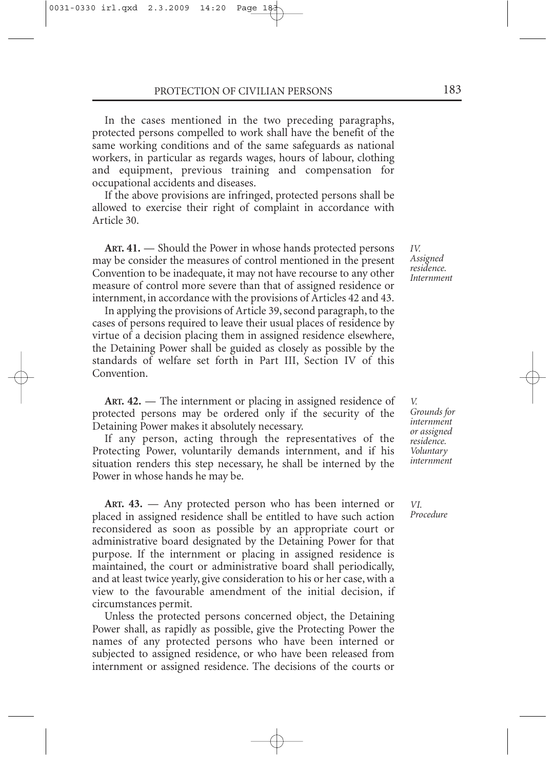In the cases mentioned in the two preceding paragraphs, protected persons compelled to work shall have the benefit of the same working conditions and of the same safeguards as national workers, in particular as regards wages, hours of labour, clothing and equipment, previous training and compensation for occupational accidents and diseases.

If the above provisions are infringed, protected persons shall be allowed to exercise their right of complaint in accordance with Article 30.

**ART. 41.** — Should the Power in whose hands protected persons may be consider the measures of control mentioned in the present Convention to be inadequate, it may not have recourse to any other measure of control more severe than that of assigned residence or internment, in accordance with the provisions of Articles 42 and 43.

In applying the provisions of Article 39, second paragraph, to the cases of persons required to leave their usual places of residence by virtue of a decision placing them in assigned residence elsewhere, the Detaining Power shall be guided as closely as possible by the standards of welfare set forth in Part III, Section IV of this Convention.

**ART. 42.** — The internment or placing in assigned residence of protected persons may be ordered only if the security of the Detaining Power makes it absolutely necessary.

If any person, acting through the representatives of the Protecting Power, voluntarily demands internment, and if his situation renders this step necessary, he shall be interned by the Power in whose hands he may be.

**ART. 43.** — Any protected person who has been interned or placed in assigned residence shall be entitled to have such action reconsidered as soon as possible by an appropriate court or administrative board designated by the Detaining Power for that purpose. If the internment or placing in assigned residence is maintained, the court or administrative board shall periodically, and at least twice yearly, give consideration to his or her case, with a view to the favourable amendment of the initial decision, if circumstances permit.

Unless the protected persons concerned object, the Detaining Power shall, as rapidly as possible, give the Protecting Power the names of any protected persons who have been interned or subjected to assigned residence, or who have been released from internment or assigned residence. The decisions of the courts or *IV. Assigned residence. Internment*

*V. Grounds for internment or assigned residence. Voluntary internment*

*VI. Procedure*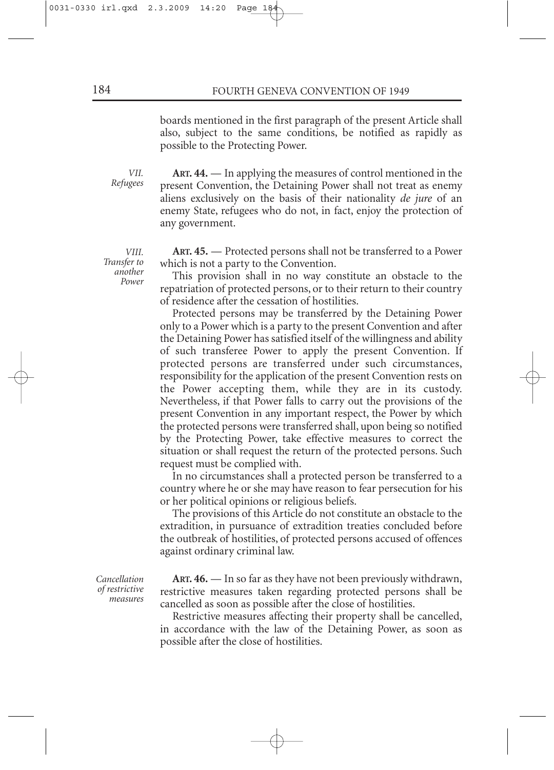boards mentioned in the first paragraph of the present Article shall also, subject to the same conditions, be notified as rapidly as possible to the Protecting Power.

**ART. 44.** — In applying the measures of control mentioned in the present Convention, the Detaining Power shall not treat as enemy aliens exclusively on the basis of their nationality *de jure* of an enemy State, refugees who do not, in fact, enjoy the protection of any government. *VII. Refugees*

> **ART. 45.** — Protected persons shall not be transferred to a Power which is not a party to the Convention.

> This provision shall in no way constitute an obstacle to the repatriation of protected persons, or to their return to their country of residence after the cessation of hostilities.

> Protected persons may be transferred by the Detaining Power only to a Power which is a party to the present Convention and after the Detaining Power has satisfied itself of the willingness and ability of such transferee Power to apply the present Convention. If protected persons are transferred under such circumstances, responsibility for the application of the present Convention rests on the Power accepting them, while they are in its custody. Nevertheless, if that Power falls to carry out the provisions of the present Convention in any important respect, the Power by which the protected persons were transferred shall, upon being so notified by the Protecting Power, take effective measures to correct the situation or shall request the return of the protected persons. Such request must be complied with.

> In no circumstances shall a protected person be transferred to a country where he or she may have reason to fear persecution for his or her political opinions or religious beliefs.

> The provisions of this Article do not constitute an obstacle to the extradition, in pursuance of extradition treaties concluded before the outbreak of hostilities, of protected persons accused of offences against ordinary criminal law.

**ART. 46.** — In so far as they have not been previously withdrawn, restrictive measures taken regarding protected persons shall be cancelled as soon as possible after the close of hostilities.

Restrictive measures affecting their property shall be cancelled, in accordance with the law of the Detaining Power, as soon as possible after the close of hostilities.

*VIII. Transfer to another Power*

*Cancellation of restrictive measures*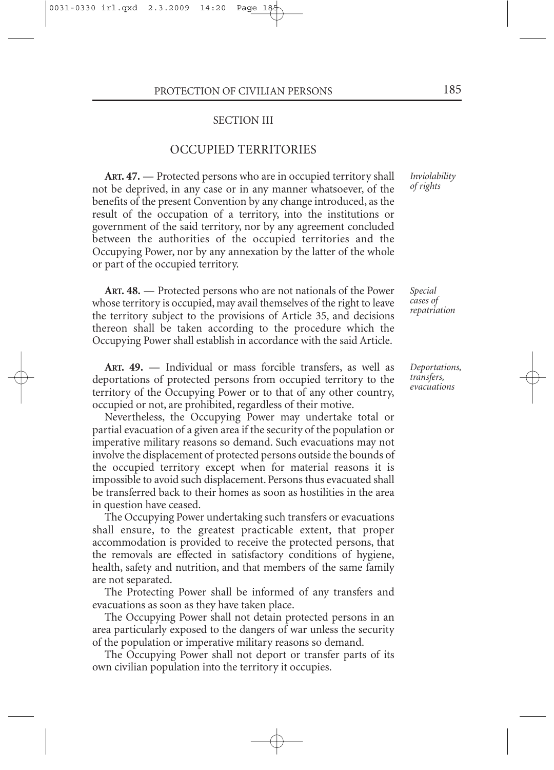### SECTION III

## OCCUPIED TERRITORIES

**ART. 47.** — Protected persons who are in occupied territory shall not be deprived, in any case or in any manner whatsoever, of the benefits of the present Convention by any change introduced, as the result of the occupation of a territory, into the institutions or government of the said territory, nor by any agreement concluded between the authorities of the occupied territories and the Occupying Power, nor by any annexation by the latter of the whole or part of the occupied territory.

**ART. 48.** — Protected persons who are not nationals of the Power whose territory is occupied, may avail themselves of the right to leave the territory subject to the provisions of Article 35, and decisions thereon shall be taken according to the procedure which the Occupying Power shall establish in accordance with the said Article.

**ART. 49.** — Individual or mass forcible transfers, as well as deportations of protected persons from occupied territory to the territory of the Occupying Power or to that of any other country, occupied or not, are prohibited, regardless of their motive.

Nevertheless, the Occupying Power may undertake total or partial evacuation of a given area if the security of the population or imperative military reasons so demand. Such evacuations may not involve the displacement of protected persons outside the bounds of the occupied territory except when for material reasons it is impossible to avoid such displacement. Persons thus evacuated shall be transferred back to their homes as soon as hostilities in the area in question have ceased.

The Occupying Power undertaking such transfers or evacuations shall ensure, to the greatest practicable extent, that proper accommodation is provided to receive the protected persons, that the removals are effected in satisfactory conditions of hygiene, health, safety and nutrition, and that members of the same family are not separated.

The Protecting Power shall be informed of any transfers and evacuations as soon as they have taken place.

The Occupying Power shall not detain protected persons in an area particularly exposed to the dangers of war unless the security of the population or imperative military reasons so demand.

The Occupying Power shall not deport or transfer parts of its own civilian population into the territory it occupies.

*Inviolability of rights*

*Special cases of repatriation*

*Deportations, transfers, evacuations*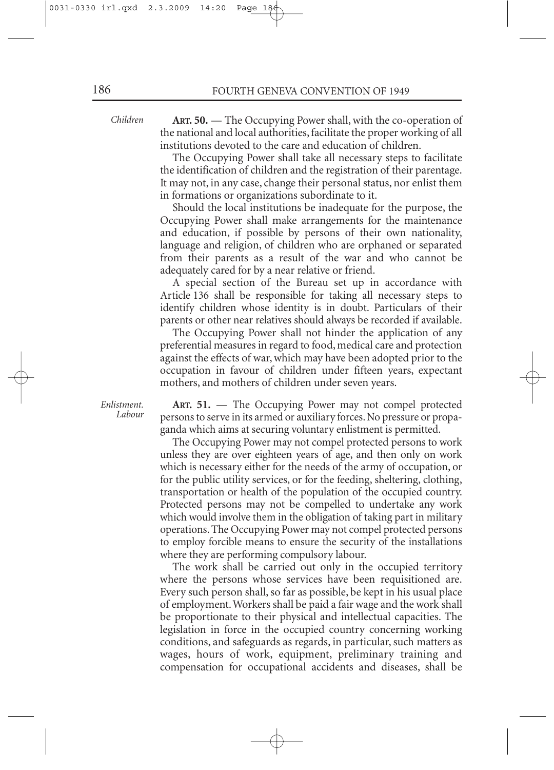*Children*

**ART. 50.** — The Occupying Power shall, with the co-operation of the national and local authorities, facilitate the proper working of all institutions devoted to the care and education of children.

The Occupying Power shall take all necessary steps to facilitate the identification of children and the registration of their parentage. It may not, in any case, change their personal status, nor enlist them in formations or organizations subordinate to it.

Should the local institutions be inadequate for the purpose, the Occupying Power shall make arrangements for the maintenance and education, if possible by persons of their own nationality, language and religion, of children who are orphaned or separated from their parents as a result of the war and who cannot be adequately cared for by a near relative or friend.

A special section of the Bureau set up in accordance with Article 136 shall be responsible for taking all necessary steps to identify children whose identity is in doubt. Particulars of their parents or other near relatives should always be recorded if available.

The Occupying Power shall not hinder the application of any preferential measures in regard to food, medical care and protection against the effects of war, which may have been adopted prior to the occupation in favour of children under fifteen years, expectant mothers, and mothers of children under seven years.

*Enlistment. Labour*

**ART. 51.** — The Occupying Power may not compel protected persons to serve in its armed or auxiliary forces. No pressure or propaganda which aims at securing voluntary enlistment is permitted.

The Occupying Power may not compel protected persons to work unless they are over eighteen years of age, and then only on work which is necessary either for the needs of the army of occupation, or for the public utility services, or for the feeding, sheltering, clothing, transportation or health of the population of the occupied country. Protected persons may not be compelled to undertake any work which would involve them in the obligation of taking part in military operations. The Occupying Power may not compel protected persons to employ forcible means to ensure the security of the installations where they are performing compulsory labour.

The work shall be carried out only in the occupied territory where the persons whose services have been requisitioned are. Every such person shall, so far as possible, be kept in his usual place of employment.Workers shall be paid a fair wage and the work shall be proportionate to their physical and intellectual capacities. The legislation in force in the occupied country concerning working conditions, and safeguards as regards, in particular, such matters as wages, hours of work, equipment, preliminary training and compensation for occupational accidents and diseases, shall be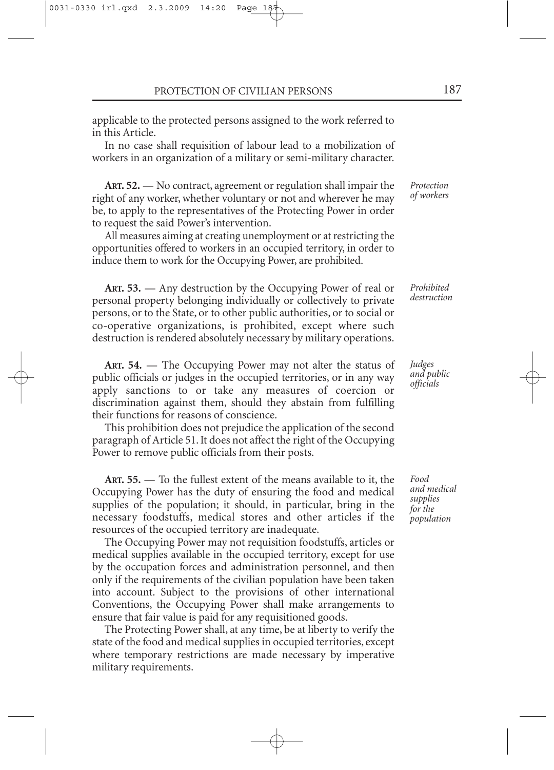applicable to the protected persons assigned to the work referred to in this Article.

In no case shall requisition of labour lead to a mobilization of workers in an organization of a military or semi-military character.

**ART. 52.** — No contract, agreement or regulation shall impair the right of any worker, whether voluntary or not and wherever he may be, to apply to the representatives of the Protecting Power in order to request the said Power's intervention.

All measures aiming at creating unemployment or at restricting the opportunities offered to workers in an occupied territory, in order to induce them to work for the Occupying Power, are prohibited.

**ART. 53.** — Any destruction by the Occupying Power of real or personal property belonging individually or collectively to private persons, or to the State, or to other public authorities, or to social or co-operative organizations, is prohibited, except where such destruction is rendered absolutely necessary by military operations.

**ART. 54.** — The Occupying Power may not alter the status of public officials or judges in the occupied territories, or in any way apply sanctions to or take any measures of coercion or discrimination against them, should they abstain from fulfilling their functions for reasons of conscience.

This prohibition does not prejudice the application of the second paragraph of Article 51. It does not affect the right of the Occupying Power to remove public officials from their posts.

**ART. 55.** — To the fullest extent of the means available to it, the Occupying Power has the duty of ensuring the food and medical supplies of the population; it should, in particular, bring in the necessary foodstuffs, medical stores and other articles if the resources of the occupied territory are inadequate.

The Occupying Power may not requisition foodstuffs, articles or medical supplies available in the occupied territory, except for use by the occupation forces and administration personnel, and then only if the requirements of the civilian population have been taken into account. Subject to the provisions of other international Conventions, the Occupying Power shall make arrangements to ensure that fair value is paid for any requisitioned goods.

The Protecting Power shall, at any time, be at liberty to verify the state of the food and medical supplies in occupied territories, except where temporary restrictions are made necessary by imperative military requirements.

*Protection of workers*

*Judges and public*

*officials*

*Prohibited destruction*

*Food and medical supplies for the population*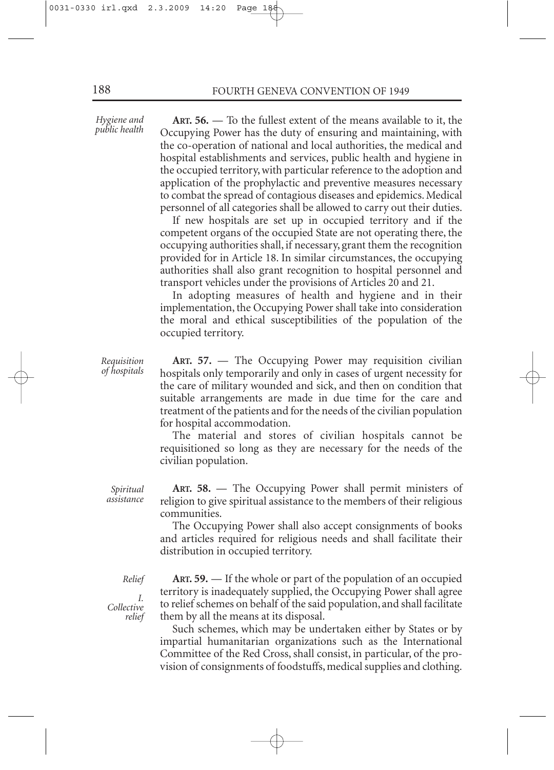*Hygiene and public health*

> *Requisition of hospitals*

**ART. 56.** — To the fullest extent of the means available to it, the Occupying Power has the duty of ensuring and maintaining, with the co-operation of national and local authorities, the medical and hospital establishments and services, public health and hygiene in the occupied territory, with particular reference to the adoption and application of the prophylactic and preventive measures necessary to combat the spread of contagious diseases and epidemics. Medical personnel of all categories shall be allowed to carry out their duties.

If new hospitals are set up in occupied territory and if the competent organs of the occupied State are not operating there, the occupying authorities shall, if necessary, grant them the recognition provided for in Article 18. In similar circumstances, the occupying authorities shall also grant recognition to hospital personnel and transport vehicles under the provisions of Articles 20 and 21.

In adopting measures of health and hygiene and in their implementation, the Occupying Power shall take into consideration the moral and ethical susceptibilities of the population of the occupied territory.

**ART. 57.** — The Occupying Power may requisition civilian hospitals only temporarily and only in cases of urgent necessity for the care of military wounded and sick, and then on condition that suitable arrangements are made in due time for the care and treatment of the patients and for the needs of the civilian population for hospital accommodation.

The material and stores of civilian hospitals cannot be requisitioned so long as they are necessary for the needs of the civilian population.

**ART. 58.** — The Occupying Power shall permit ministers of religion to give spiritual assistance to the members of their religious communities.

The Occupying Power shall also accept consignments of books and articles required for religious needs and shall facilitate their distribution in occupied territory.

*Relief*

*Spiritual assistance*

*I. Collective relief*

**ART. 59.** — If the whole or part of the population of an occupied territory is inadequately supplied, the Occupying Power shall agree to relief schemes on behalf of the said population, and shall facilitate them by all the means at its disposal.

Such schemes, which may be undertaken either by States or by impartial humanitarian organizations such as the International Committee of the Red Cross, shall consist, in particular, of the provision of consignments of foodstuffs, medical supplies and clothing.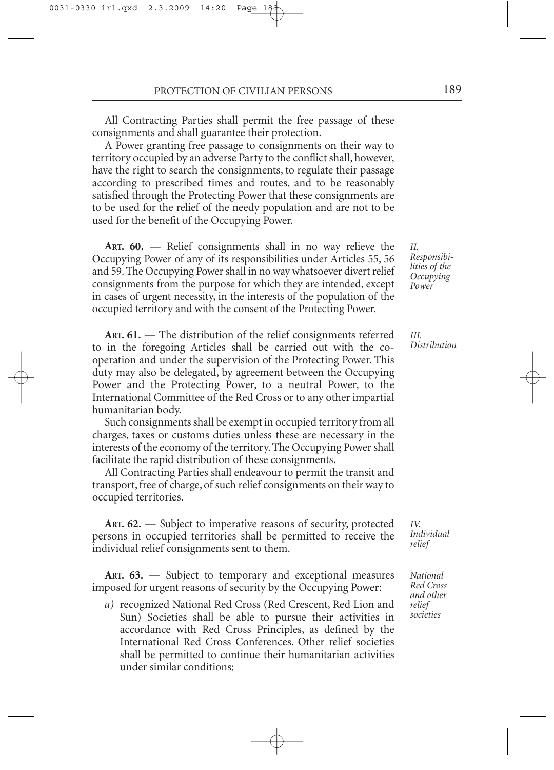All Contracting Parties shall permit the free passage of these consignments and shall guarantee their protection.

A Power granting free passage to consignments on their way to territory occupied by an adverse Party to the conflict shall, however, have the right to search the consignments, to regulate their passage according to prescribed times and routes, and to be reasonably satisfied through the Protecting Power that these consignments are to be used for the relief of the needy population and are not to be used for the benefit of the Occupying Power.

**ART. 60.** — Relief consignments shall in no way relieve the Occupying Power of any of its responsibilities under Articles 55, 56 and 59. The Occupying Power shall in no way whatsoever divert relief consignments from the purpose for which they are intended, except in cases of urgent necessity, in the interests of the population of the occupied territory and with the consent of the Protecting Power.

**ART. 61.** — The distribution of the relief consignments referred to in the foregoing Articles shall be carried out with the cooperation and under the supervision of the Protecting Power. This duty may also be delegated, by agreement between the Occupying Power and the Protecting Power, to a neutral Power, to the International Committee of the Red Cross or to any other impartial humanitarian body.

Such consignments shall be exempt in occupied territory from all charges, taxes or customs duties unless these are necessary in the interests of the economy of the territory. The Occupying Power shall facilitate the rapid distribution of these consignments.

All Contracting Parties shall endeavour to permit the transit and transport, free of charge, of such relief consignments on their way to occupied territories.

**ART. 62.** — Subject to imperative reasons of security, protected persons in occupied territories shall be permitted to receive the individual relief consignments sent to them.

**ART. 63.** — Subject to temporary and exceptional measures imposed for urgent reasons of security by the Occupying Power:

*a)* recognized National Red Cross (Red Crescent, Red Lion and Sun) Societies shall be able to pursue their activities in accordance with Red Cross Principles, as defined by the International Red Cross Conferences. Other relief societies shall be permitted to continue their humanitarian activities under similar conditions;

*II. Responsibilities of the Occupying Power*

*III. Distribution*

*IV. Individual relief*

*National Red Cross and other relief societies*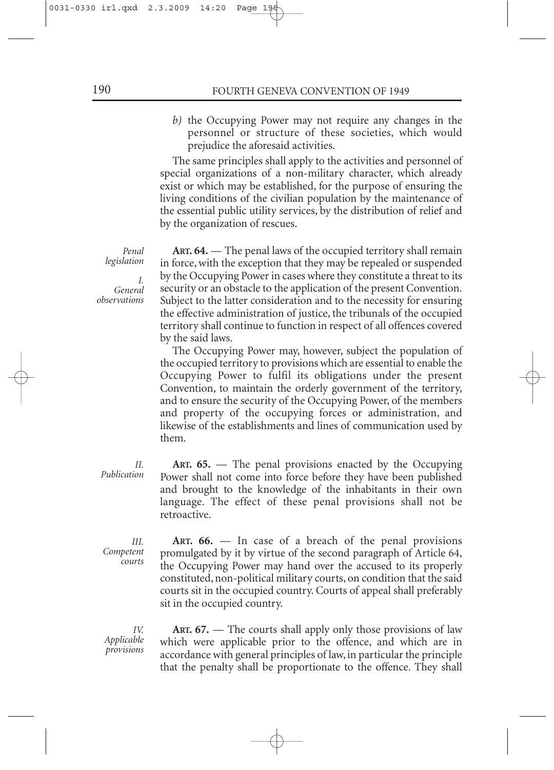*b)* the Occupying Power may not require any changes in the personnel or structure of these societies, which would prejudice the aforesaid activities.

The same principles shall apply to the activities and personnel of special organizations of a non-military character, which already exist or which may be established, for the purpose of ensuring the living conditions of the civilian population by the maintenance of the essential public utility services, by the distribution of relief and by the organization of rescues.

**ART. 64.** — The penal laws of the occupied territory shall remain in force, with the exception that they may be repealed or suspended by the Occupying Power in cases where they constitute a threat to its security or an obstacle to the application of the present Convention. Subject to the latter consideration and to the necessity for ensuring the effective administration of justice, the tribunals of the occupied territory shall continue to function in respect of all offences covered by the said laws.

The Occupying Power may, however, subject the population of the occupied territory to provisions which are essential to enable the Occupying Power to fulfil its obligations under the present Convention, to maintain the orderly government of the territory, and to ensure the security of the Occupying Power, of the members and property of the occupying forces or administration, and likewise of the establishments and lines of communication used by them.

**ART. 65.** — The penal provisions enacted by the Occupying Power shall not come into force before they have been published and brought to the knowledge of the inhabitants in their own language. The effect of these penal provisions shall not be retroactive. *II.*

**ART. 66.** — In case of a breach of the penal provisions promulgated by it by virtue of the second paragraph of Article 64, the Occupying Power may hand over the accused to its properly constituted, non-political military courts, on condition that the said courts sit in the occupied country. Courts of appeal shall preferably sit in the occupied country. *III. Competent courts*

> **ART. 67.** — The courts shall apply only those provisions of law which were applicable prior to the offence, and which are in accordance with general principles of law, in particular the principle that the penalty shall be proportionate to the offence. They shall

*Penal legislation*

*I. General observations*

*Publication*

*IV. Applicable provisions*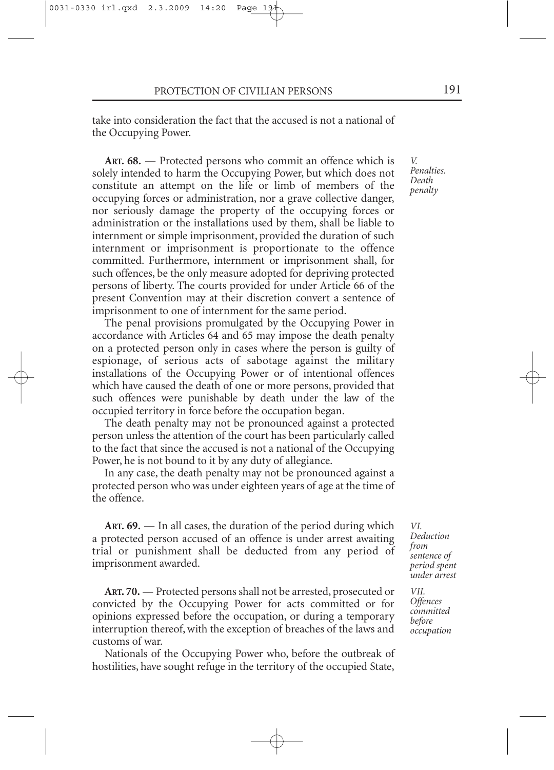take into consideration the fact that the accused is not a national of the Occupying Power.

**ART. 68.** — Protected persons who commit an offence which is solely intended to harm the Occupying Power, but which does not constitute an attempt on the life or limb of members of the occupying forces or administration, nor a grave collective danger, nor seriously damage the property of the occupying forces or administration or the installations used by them, shall be liable to internment or simple imprisonment, provided the duration of such internment or imprisonment is proportionate to the offence committed. Furthermore, internment or imprisonment shall, for such offences, be the only measure adopted for depriving protected persons of liberty. The courts provided for under Article 66 of the present Convention may at their discretion convert a sentence of imprisonment to one of internment for the same period.

The penal provisions promulgated by the Occupying Power in accordance with Articles 64 and 65 may impose the death penalty on a protected person only in cases where the person is guilty of espionage, of serious acts of sabotage against the military installations of the Occupying Power or of intentional offences which have caused the death of one or more persons, provided that such offences were punishable by death under the law of the occupied territory in force before the occupation began.

The death penalty may not be pronounced against a protected person unless the attention of the court has been particularly called to the fact that since the accused is not a national of the Occupying Power, he is not bound to it by any duty of allegiance.

In any case, the death penalty may not be pronounced against a protected person who was under eighteen years of age at the time of the offence.

**ART. 69.** — In all cases, the duration of the period during which a protected person accused of an offence is under arrest awaiting trial or punishment shall be deducted from any period of imprisonment awarded.

**ART. 70.** — Protected persons shall not be arrested, prosecuted or convicted by the Occupying Power for acts committed or for opinions expressed before the occupation, or during a temporary interruption thereof, with the exception of breaches of the laws and customs of war.

Nationals of the Occupying Power who, before the outbreak of hostilities, have sought refuge in the territory of the occupied State,

*VI. Deduction from sentence of period spent under arrest*

*VII. Offences committed before occupation*

*V. Penalties. Death penalty*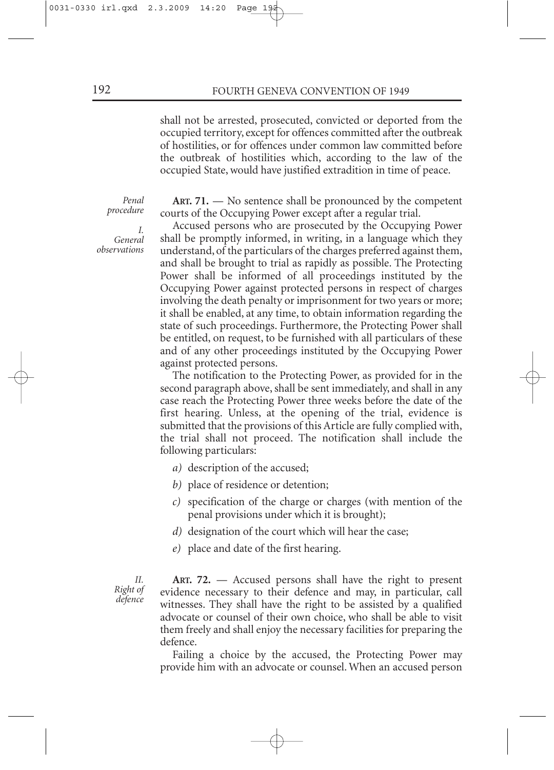shall not be arrested, prosecuted, convicted or deported from the occupied territory, except for offences committed after the outbreak of hostilities, or for offences under common law committed before the outbreak of hostilities which, according to the law of the occupied State, would have justified extradition in time of peace.

*Penal procedure*

*I. General observations*

**ART. 71.** — No sentence shall be pronounced by the competent courts of the Occupying Power except after a regular trial.

Accused persons who are prosecuted by the Occupying Power shall be promptly informed, in writing, in a language which they understand, of the particulars of the charges preferred against them, and shall be brought to trial as rapidly as possible. The Protecting Power shall be informed of all proceedings instituted by the Occupying Power against protected persons in respect of charges involving the death penalty or imprisonment for two years or more; it shall be enabled, at any time, to obtain information regarding the state of such proceedings. Furthermore, the Protecting Power shall be entitled, on request, to be furnished with all particulars of these and of any other proceedings instituted by the Occupying Power against protected persons.

The notification to the Protecting Power, as provided for in the second paragraph above, shall be sent immediately, and shall in any case reach the Protecting Power three weeks before the date of the first hearing. Unless, at the opening of the trial, evidence is submitted that the provisions of this Article are fully complied with, the trial shall not proceed. The notification shall include the following particulars:

- *a)* description of the accused;
- *b)* place of residence or detention;
- *c)* specification of the charge or charges (with mention of the penal provisions under which it is brought);
- *d)* designation of the court which will hear the case;
- *e)* place and date of the first hearing.

*II. Right of defence*

**ART. 72.** — Accused persons shall have the right to present evidence necessary to their defence and may, in particular, call witnesses. They shall have the right to be assisted by a qualified advocate or counsel of their own choice, who shall be able to visit them freely and shall enjoy the necessary facilities for preparing the defence.

Failing a choice by the accused, the Protecting Power may provide him with an advocate or counsel. When an accused person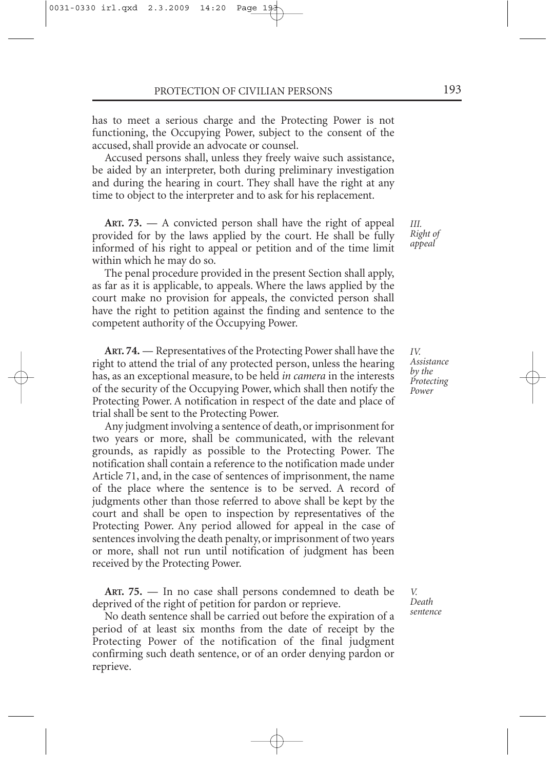has to meet a serious charge and the Protecting Power is not functioning, the Occupying Power, subject to the consent of the accused, shall provide an advocate or counsel.

Accused persons shall, unless they freely waive such assistance, be aided by an interpreter, both during preliminary investigation and during the hearing in court. They shall have the right at any time to object to the interpreter and to ask for his replacement.

**ART. 73.** — A convicted person shall have the right of appeal provided for by the laws applied by the court. He shall be fully informed of his right to appeal or petition and of the time limit within which he may do so.

The penal procedure provided in the present Section shall apply, as far as it is applicable, to appeals. Where the laws applied by the court make no provision for appeals, the convicted person shall have the right to petition against the finding and sentence to the competent authority of the Occupying Power.

**ART. 74.** — Representatives of the Protecting Power shall have the right to attend the trial of any protected person, unless the hearing has, as an exceptional measure, to be held *in camera* in the interests of the security of the Occupying Power, which shall then notify the Protecting Power. A notification in respect of the date and place of trial shall be sent to the Protecting Power.

Any judgment involving a sentence of death, or imprisonment for two years or more, shall be communicated, with the relevant grounds, as rapidly as possible to the Protecting Power. The notification shall contain a reference to the notification made under Article 71, and, in the case of sentences of imprisonment, the name of the place where the sentence is to be served. A record of judgments other than those referred to above shall be kept by the court and shall be open to inspection by representatives of the Protecting Power. Any period allowed for appeal in the case of sentences involving the death penalty, or imprisonment of two years or more, shall not run until notification of judgment has been received by the Protecting Power.

**ART. 75.** — In no case shall persons condemned to death be deprived of the right of petition for pardon or reprieve.

No death sentence shall be carried out before the expiration of a period of at least six months from the date of receipt by the Protecting Power of the notification of the final judgment confirming such death sentence, or of an order denying pardon or reprieve.

*III. Right of appeal*

*IV. Assistance by the Protecting Power*

*V. Death sentence*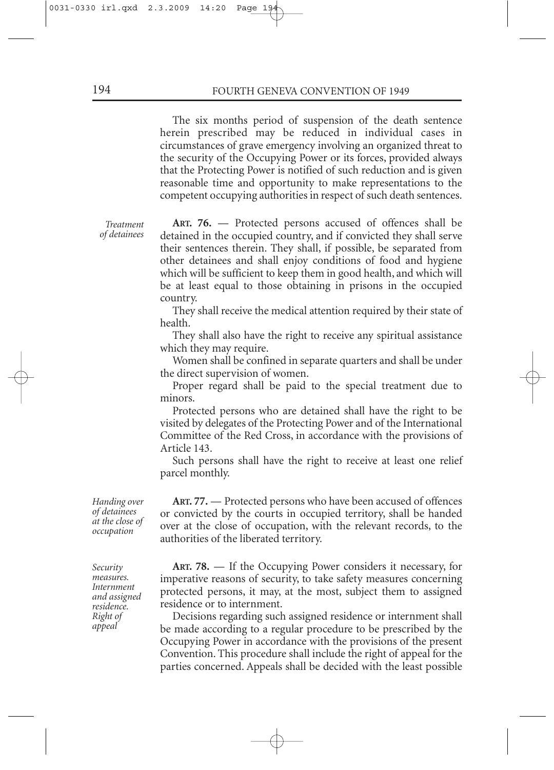The six months period of suspension of the death sentence herein prescribed may be reduced in individual cases in circumstances of grave emergency involving an organized threat to the security of the Occupying Power or its forces, provided always that the Protecting Power is notified of such reduction and is given reasonable time and opportunity to make representations to the competent occupying authorities in respect of such death sentences.

*Treatment of detainees*

**ART. 76.** — Protected persons accused of offences shall be detained in the occupied country, and if convicted they shall serve their sentences therein. They shall, if possible, be separated from other detainees and shall enjoy conditions of food and hygiene which will be sufficient to keep them in good health, and which will be at least equal to those obtaining in prisons in the occupied country.

They shall receive the medical attention required by their state of health.

They shall also have the right to receive any spiritual assistance which they may require.

Women shall be confined in separate quarters and shall be under the direct supervision of women.

Proper regard shall be paid to the special treatment due to minors.

Protected persons who are detained shall have the right to be visited by delegates of the Protecting Power and of the International Committee of the Red Cross, in accordance with the provisions of Article 143.

Such persons shall have the right to receive at least one relief parcel monthly.

**ART. 77.** — Protected persons who have been accused of offences or convicted by the courts in occupied territory, shall be handed over at the close of occupation, with the relevant records, to the authorities of the liberated territory.

**ART. 78.** — If the Occupying Power considers it necessary, for imperative reasons of security, to take safety measures concerning protected persons, it may, at the most, subject them to assigned residence or to internment.

Decisions regarding such assigned residence or internment shall be made according to a regular procedure to be prescribed by the Occupying Power in accordance with the provisions of the present Convention. This procedure shall include the right of appeal for the parties concerned. Appeals shall be decided with the least possible

*Handing over of detainees at the close of occupation*

*Security measures. Internment and assigned residence. Right of appeal*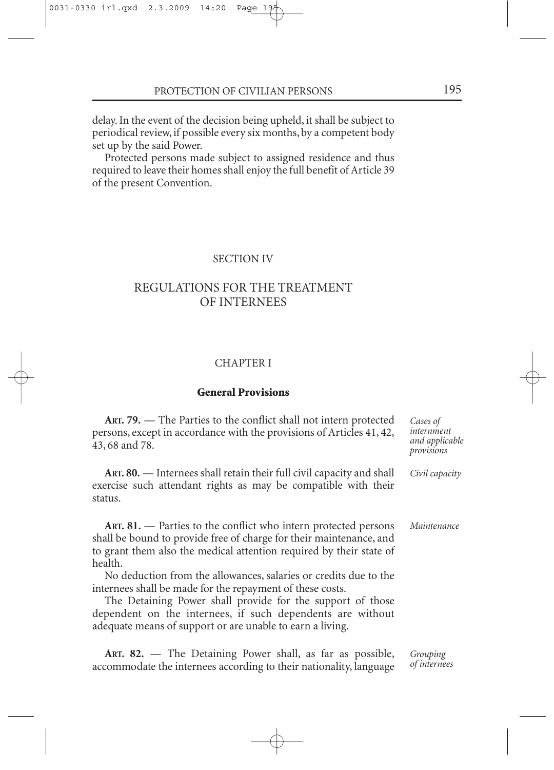delay. In the event of the decision being upheld, it shall be subject to periodical review, if possible every six months, by a competent body set up by the said Power.

Protected persons made subject to assigned residence and thus required to leave their homes shall enjoy the full benefit of Article 39 of the present Convention.

## SECTION IV

## REGULATIONS FOR THE TREATMENT OF INTERNEES

### CHAPTER I

### **General Provisions**

accommodate the internees according to their nationality, language

| ART. 79. — The Parties to the conflict shall not intern protected<br>persons, except in accordance with the provisions of Articles 41, 42,<br>43, 68 and 78.                                                                                                                                                                                                                                                                                                                          | Cases of<br>internment<br>and applicable<br>provisions |
|---------------------------------------------------------------------------------------------------------------------------------------------------------------------------------------------------------------------------------------------------------------------------------------------------------------------------------------------------------------------------------------------------------------------------------------------------------------------------------------|--------------------------------------------------------|
| <b>ART. 80.</b> — Internees shall retain their full civil capacity and shall<br>exercise such attendant rights as may be compatible with their<br>status.                                                                                                                                                                                                                                                                                                                             | Civil capacity                                         |
| ART. 81. — Parties to the conflict who intern protected persons<br>shall be bound to provide free of charge for their maintenance, and<br>to grant them also the medical attention required by their state of<br>health.<br>No deduction from the allowances, salaries or credits due to the<br>internees shall be made for the repayment of these costs.<br>The Detaining Power shall provide for the support of those<br>dependent on the internees, if such dependents are without | Maintenance                                            |
| adequate means of support or are unable to earn a living.<br>ART. 82. — The Detaining Power shall, as far as possible,<br>accommodate the internees according to their nationality, language                                                                                                                                                                                                                                                                                          | Grouping<br>of internees                               |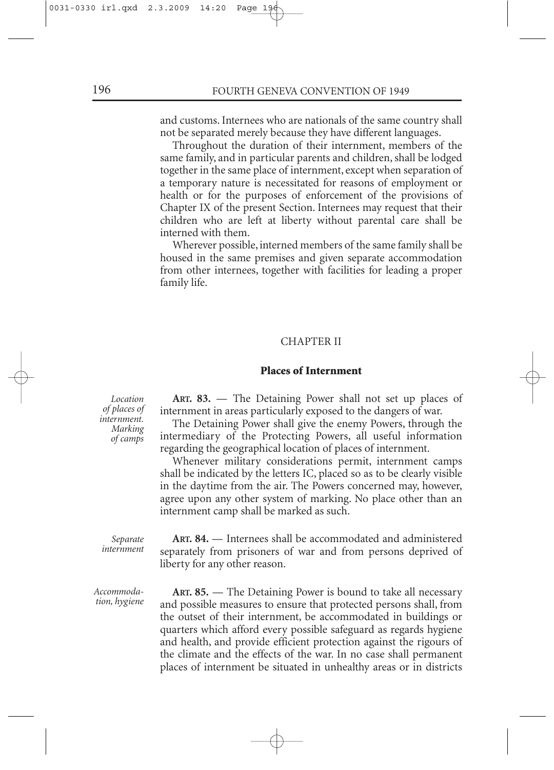and customs. Internees who are nationals of the same country shall not be separated merely because they have different languages.

Throughout the duration of their internment, members of the same family, and in particular parents and children, shall be lodged together in the same place of internment, except when separation of a temporary nature is necessitated for reasons of employment or health or for the purposes of enforcement of the provisions of Chapter IX of the present Section. Internees may request that their children who are left at liberty without parental care shall be interned with them.

Wherever possible, interned members of the same family shall be housed in the same premises and given separate accommodation from other internees, together with facilities for leading a proper family life.

### CHAPTER II

#### **Places of Internment**

**ART. 83.** — The Detaining Power shall not set up places of internment in areas particularly exposed to the dangers of war.

The Detaining Power shall give the enemy Powers, through the intermediary of the Protecting Powers, all useful information regarding the geographical location of places of internment.

Whenever military considerations permit, internment camps shall be indicated by the letters IC, placed so as to be clearly visible in the daytime from the air. The Powers concerned may, however, agree upon any other system of marking. No place other than an internment camp shall be marked as such.

**ART. 84.** — Internees shall be accommodated and administered separately from prisoners of war and from persons deprived of liberty for any other reason. *Separate internment*

*Accommodation, hygiene*

**ART. 85.** — The Detaining Power is bound to take all necessary and possible measures to ensure that protected persons shall, from the outset of their internment, be accommodated in buildings or quarters which afford every possible safeguard as regards hygiene and health, and provide efficient protection against the rigours of the climate and the effects of the war. In no case shall permanent places of internment be situated in unhealthy areas or in districts

*Location of places of internment. Marking of camps*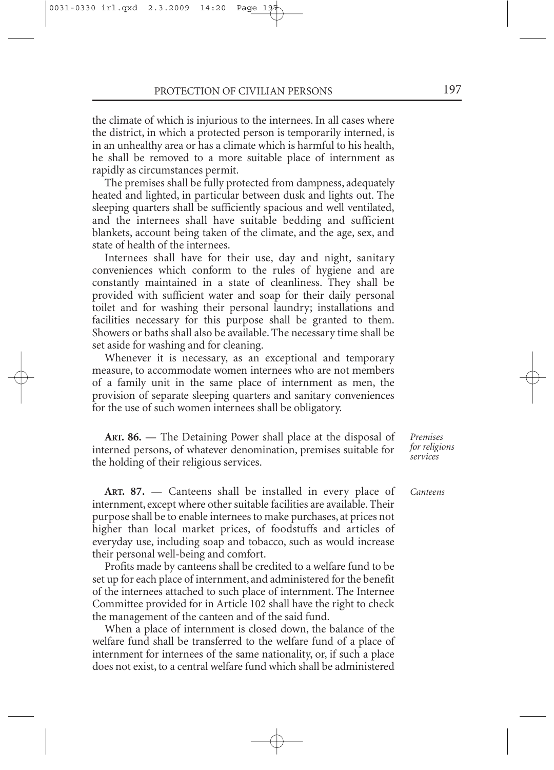the climate of which is injurious to the internees. In all cases where the district, in which a protected person is temporarily interned, is in an unhealthy area or has a climate which is harmful to his health, he shall be removed to a more suitable place of internment as rapidly as circumstances permit.

The premises shall be fully protected from dampness, adequately heated and lighted, in particular between dusk and lights out. The sleeping quarters shall be sufficiently spacious and well ventilated, and the internees shall have suitable bedding and sufficient blankets, account being taken of the climate, and the age, sex, and state of health of the internees.

Internees shall have for their use, day and night, sanitary conveniences which conform to the rules of hygiene and are constantly maintained in a state of cleanliness. They shall be provided with sufficient water and soap for their daily personal toilet and for washing their personal laundry; installations and facilities necessary for this purpose shall be granted to them. Showers or baths shall also be available. The necessary time shall be set aside for washing and for cleaning.

Whenever it is necessary, as an exceptional and temporary measure, to accommodate women internees who are not members of a family unit in the same place of internment as men, the provision of separate sleeping quarters and sanitary conveniences for the use of such women internees shall be obligatory.

**ART. 86.** — The Detaining Power shall place at the disposal of interned persons, of whatever denomination, premises suitable for the holding of their religious services.

*Premises for religions services*

**ART. 87.** — Canteens shall be installed in every place of internment, except where other suitable facilities are available. Their purpose shall be to enable internees to make purchases, at prices not higher than local market prices, of foodstuffs and articles of everyday use, including soap and tobacco, such as would increase their personal well-being and comfort.

Profits made by canteens shall be credited to a welfare fund to be set up for each place of internment, and administered for the benefit of the internees attached to such place of internment. The Internee Committee provided for in Article 102 shall have the right to check the management of the canteen and of the said fund.

When a place of internment is closed down, the balance of the welfare fund shall be transferred to the welfare fund of a place of internment for internees of the same nationality, or, if such a place does not exist, to a central welfare fund which shall be administered

*Canteens*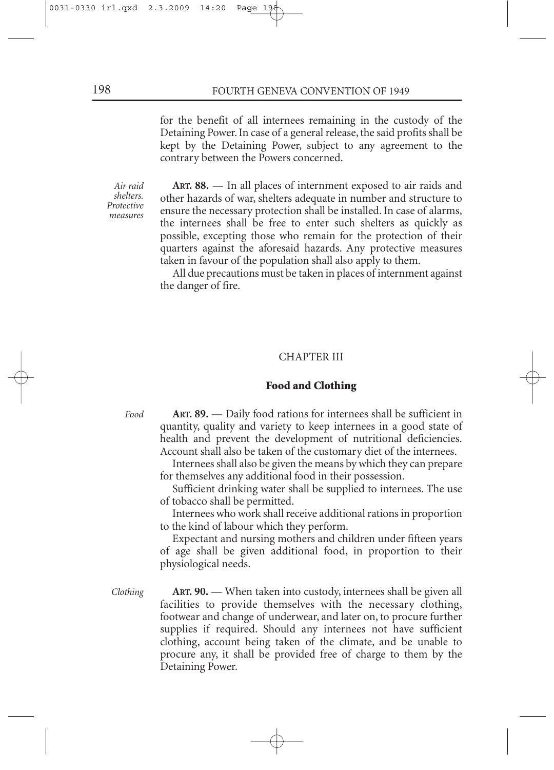for the benefit of all internees remaining in the custody of the Detaining Power. In case of a general release, the said profits shall be kept by the Detaining Power, subject to any agreement to the contrary between the Powers concerned.

*Air raid shelters. Protective measures*

**ART. 88.** — In all places of internment exposed to air raids and other hazards of war, shelters adequate in number and structure to ensure the necessary protection shall be installed. In case of alarms, the internees shall be free to enter such shelters as quickly as possible, excepting those who remain for the protection of their quarters against the aforesaid hazards. Any protective measures taken in favour of the population shall also apply to them.

All due precautions must be taken in places of internment against the danger of fire.

## CHAPTER III

#### **Food and Clothing**

*Food*

**ART. 89.** — Daily food rations for internees shall be sufficient in quantity, quality and variety to keep internees in a good state of health and prevent the development of nutritional deficiencies. Account shall also be taken of the customary diet of the internees.

Internees shall also be given the means by which they can prepare for themselves any additional food in their possession.

Sufficient drinking water shall be supplied to internees. The use of tobacco shall be permitted.

Internees who work shall receive additional rations in proportion to the kind of labour which they perform.

Expectant and nursing mothers and children under fifteen years of age shall be given additional food, in proportion to their physiological needs.

*Clothing*

**ART. 90.** — When taken into custody, internees shall be given all facilities to provide themselves with the necessary clothing, footwear and change of underwear, and later on, to procure further supplies if required. Should any internees not have sufficient clothing, account being taken of the climate, and be unable to procure any, it shall be provided free of charge to them by the Detaining Power.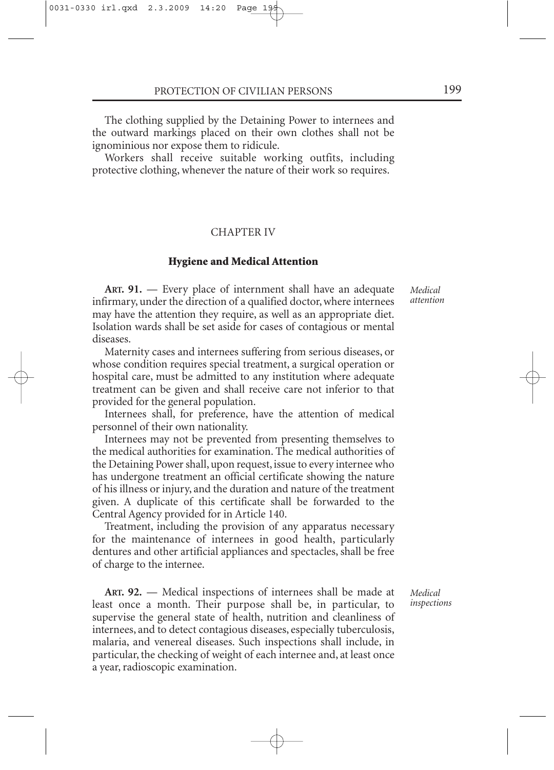The clothing supplied by the Detaining Power to internees and the outward markings placed on their own clothes shall not be ignominious nor expose them to ridicule.

Workers shall receive suitable working outfits, including protective clothing, whenever the nature of their work so requires.

#### CHAPTER IV

#### **Hygiene and Medical Attention**

**ART. 91.** — Every place of internment shall have an adequate infirmary, under the direction of a qualified doctor, where internees may have the attention they require, as well as an appropriate diet. Isolation wards shall be set aside for cases of contagious or mental diseases.

Maternity cases and internees suffering from serious diseases, or whose condition requires special treatment, a surgical operation or hospital care, must be admitted to any institution where adequate treatment can be given and shall receive care not inferior to that provided for the general population.

Internees shall, for preference, have the attention of medical personnel of their own nationality.

Internees may not be prevented from presenting themselves to the medical authorities for examination. The medical authorities of the Detaining Power shall, upon request, issue to every internee who has undergone treatment an official certificate showing the nature of his illness or injury, and the duration and nature of the treatment given. A duplicate of this certificate shall be forwarded to the Central Agency provided for in Article 140.

Treatment, including the provision of any apparatus necessary for the maintenance of internees in good health, particularly dentures and other artificial appliances and spectacles, shall be free of charge to the internee.

**ART. 92.** — Medical inspections of internees shall be made at least once a month. Their purpose shall be, in particular, to supervise the general state of health, nutrition and cleanliness of internees, and to detect contagious diseases, especially tuberculosis, malaria, and venereal diseases. Such inspections shall include, in particular, the checking of weight of each internee and, at least once a year, radioscopic examination.

*Medical inspections*

*Medical attention*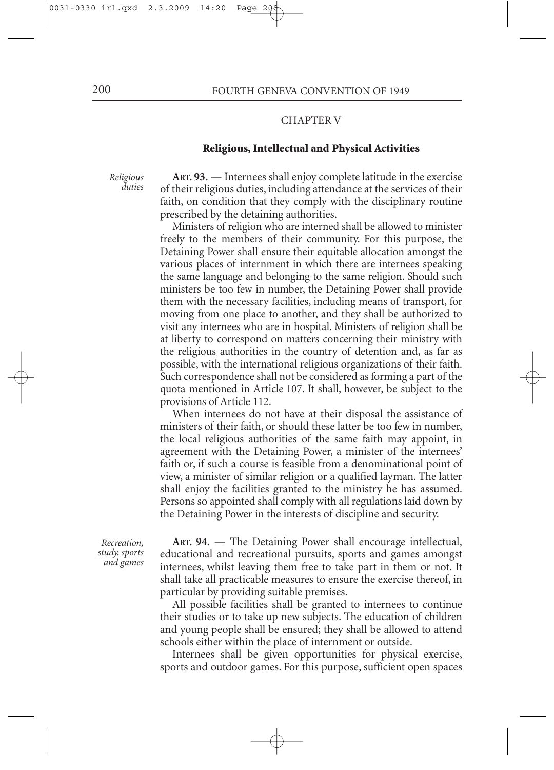## 200 FOURTH GENEVA CONVENTION OF 1949

#### CHAPTER V

#### **Religious, Intellectual and Physical Activities**

*Religious duties*

**ART. 93.** — Internees shall enjoy complete latitude in the exercise of their religious duties, including attendance at the services of their faith, on condition that they comply with the disciplinary routine prescribed by the detaining authorities.

Ministers of religion who are interned shall be allowed to minister freely to the members of their community. For this purpose, the Detaining Power shall ensure their equitable allocation amongst the various places of internment in which there are internees speaking the same language and belonging to the same religion. Should such ministers be too few in number, the Detaining Power shall provide them with the necessary facilities, including means of transport, for moving from one place to another, and they shall be authorized to visit any internees who are in hospital. Ministers of religion shall be at liberty to correspond on matters concerning their ministry with the religious authorities in the country of detention and, as far as possible, with the international religious organizations of their faith. Such correspondence shall not be considered as forming a part of the quota mentioned in Article 107. It shall, however, be subject to the provisions of Article 112.

When internees do not have at their disposal the assistance of ministers of their faith, or should these latter be too few in number, the local religious authorities of the same faith may appoint, in agreement with the Detaining Power, a minister of the internees' faith or, if such a course is feasible from a denominational point of view, a minister of similar religion or a qualified layman. The latter shall enjoy the facilities granted to the ministry he has assumed. Persons so appointed shall comply with all regulations laid down by the Detaining Power in the interests of discipline and security.

*Recreation, study, sports and games*

**ART. 94.** — The Detaining Power shall encourage intellectual, educational and recreational pursuits, sports and games amongst internees, whilst leaving them free to take part in them or not. It shall take all practicable measures to ensure the exercise thereof, in particular by providing suitable premises.

All possible facilities shall be granted to internees to continue their studies or to take up new subjects. The education of children and young people shall be ensured; they shall be allowed to attend schools either within the place of internment or outside.

Internees shall be given opportunities for physical exercise, sports and outdoor games. For this purpose, sufficient open spaces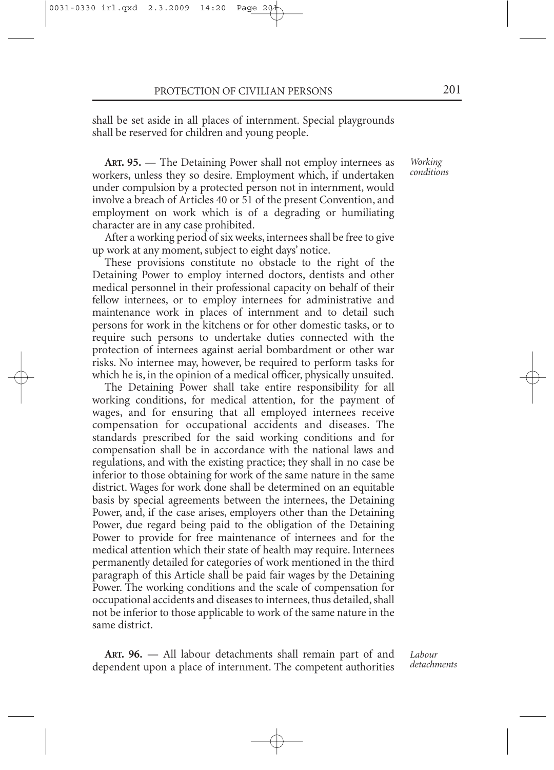shall be set aside in all places of internment. Special playgrounds shall be reserved for children and young people.

**ART. 95.** — The Detaining Power shall not employ internees as workers, unless they so desire. Employment which, if undertaken under compulsion by a protected person not in internment, would involve a breach of Articles 40 or 51 of the present Convention, and employment on work which is of a degrading or humiliating character are in any case prohibited.

After a working period of six weeks, internees shall be free to give up work at any moment, subject to eight days' notice.

These provisions constitute no obstacle to the right of the Detaining Power to employ interned doctors, dentists and other medical personnel in their professional capacity on behalf of their fellow internees, or to employ internees for administrative and maintenance work in places of internment and to detail such persons for work in the kitchens or for other domestic tasks, or to require such persons to undertake duties connected with the protection of internees against aerial bombardment or other war risks. No internee may, however, be required to perform tasks for which he is, in the opinion of a medical officer, physically unsuited.

The Detaining Power shall take entire responsibility for all working conditions, for medical attention, for the payment of wages, and for ensuring that all employed internees receive compensation for occupational accidents and diseases. The standards prescribed for the said working conditions and for compensation shall be in accordance with the national laws and regulations, and with the existing practice; they shall in no case be inferior to those obtaining for work of the same nature in the same district. Wages for work done shall be determined on an equitable basis by special agreements between the internees, the Detaining Power, and, if the case arises, employers other than the Detaining Power, due regard being paid to the obligation of the Detaining Power to provide for free maintenance of internees and for the medical attention which their state of health may require. Internees permanently detailed for categories of work mentioned in the third paragraph of this Article shall be paid fair wages by the Detaining Power. The working conditions and the scale of compensation for occupational accidents and diseases to internees, thus detailed, shall not be inferior to those applicable to work of the same nature in the same district.

**ART. 96.** — All labour detachments shall remain part of and dependent upon a place of internment. The competent authorities *Labour detachments*

*Working conditions*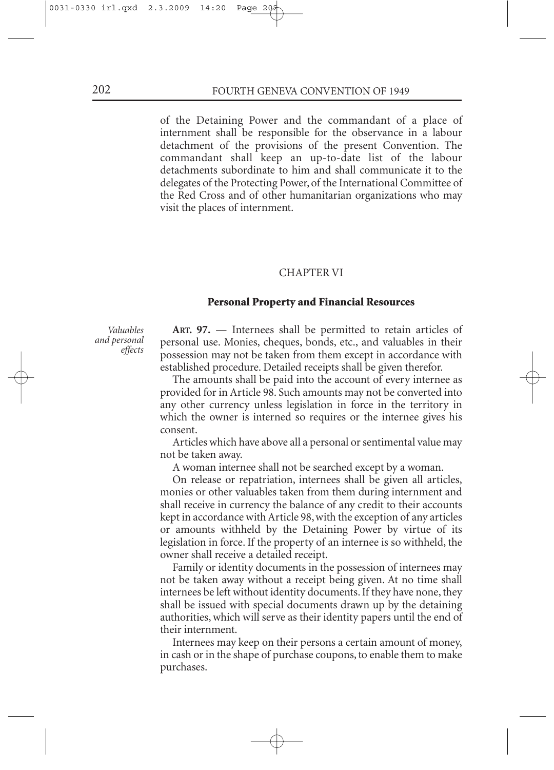of the Detaining Power and the commandant of a place of internment shall be responsible for the observance in a labour detachment of the provisions of the present Convention. The commandant shall keep an up-to-date list of the labour detachments subordinate to him and shall communicate it to the delegates of the Protecting Power, of the International Committee of the Red Cross and of other humanitarian organizations who may visit the places of internment.

### CHAPTER VI

#### **Personal Property and Financial Resources**

*Valuables and personal effects*

**ART. 97.** — Internees shall be permitted to retain articles of personal use. Monies, cheques, bonds, etc., and valuables in their possession may not be taken from them except in accordance with established procedure. Detailed receipts shall be given therefor.

The amounts shall be paid into the account of every internee as provided for in Article 98. Such amounts may not be converted into any other currency unless legislation in force in the territory in which the owner is interned so requires or the internee gives his consent.

Articles which have above all a personal or sentimental value may not be taken away.

A woman internee shall not be searched except by a woman.

On release or repatriation, internees shall be given all articles, monies or other valuables taken from them during internment and shall receive in currency the balance of any credit to their accounts kept in accordance with Article 98, with the exception of any articles or amounts withheld by the Detaining Power by virtue of its legislation in force. If the property of an internee is so withheld, the owner shall receive a detailed receipt.

Family or identity documents in the possession of internees may not be taken away without a receipt being given. At no time shall internees be left without identity documents. If they have none, they shall be issued with special documents drawn up by the detaining authorities, which will serve as their identity papers until the end of their internment.

Internees may keep on their persons a certain amount of money, in cash or in the shape of purchase coupons, to enable them to make purchases.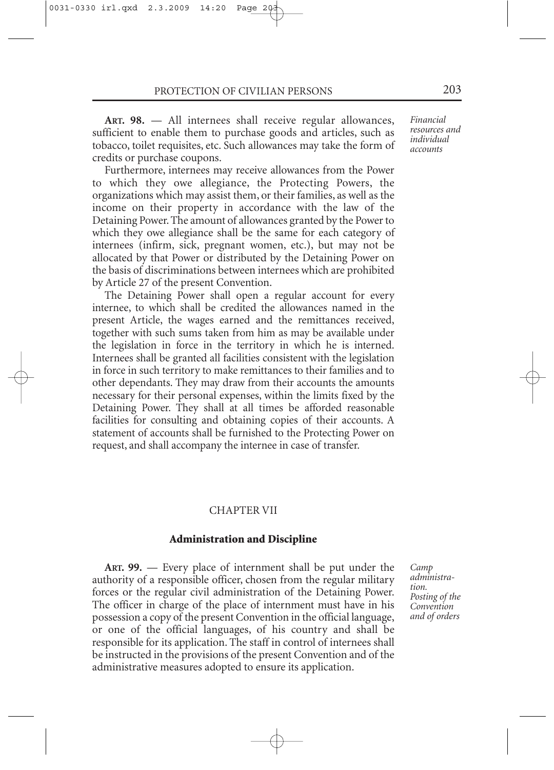**ART. 98.** — All internees shall receive regular allowances, sufficient to enable them to purchase goods and articles, such as tobacco, toilet requisites, etc. Such allowances may take the form of credits or purchase coupons.

Furthermore, internees may receive allowances from the Power to which they owe allegiance, the Protecting Powers, the organizations which may assist them, or their families, as well as the income on their property in accordance with the law of the Detaining Power. The amount of allowances granted by the Power to which they owe allegiance shall be the same for each category of internees (infirm, sick, pregnant women, etc.), but may not be allocated by that Power or distributed by the Detaining Power on the basis of discriminations between internees which are prohibited by Article 27 of the present Convention.

The Detaining Power shall open a regular account for every internee, to which shall be credited the allowances named in the present Article, the wages earned and the remittances received, together with such sums taken from him as may be available under the legislation in force in the territory in which he is interned. Internees shall be granted all facilities consistent with the legislation in force in such territory to make remittances to their families and to other dependants. They may draw from their accounts the amounts necessary for their personal expenses, within the limits fixed by the Detaining Power. They shall at all times be afforded reasonable facilities for consulting and obtaining copies of their accounts. A statement of accounts shall be furnished to the Protecting Power on request, and shall accompany the internee in case of transfer.

#### CHAPTER VII

#### **Administration and Discipline**

**ART. 99.** — Every place of internment shall be put under the authority of a responsible officer, chosen from the regular military forces or the regular civil administration of the Detaining Power. The officer in charge of the place of internment must have in his possession a copy of the present Convention in the official language, or one of the official languages, of his country and shall be responsible for its application. The staff in control of internees shall be instructed in the provisions of the present Convention and of the administrative measures adopted to ensure its application.

*Camp administration. Posting of the Convention and of orders*

*Financial resources and individual accounts*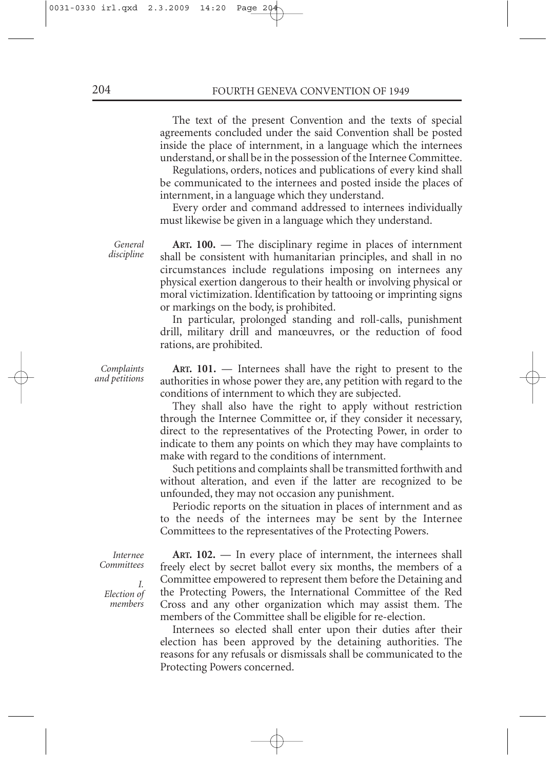The text of the present Convention and the texts of special agreements concluded under the said Convention shall be posted inside the place of internment, in a language which the internees understand, or shall be in the possession of the Internee Committee.

Regulations, orders, notices and publications of every kind shall be communicated to the internees and posted inside the places of internment, in a language which they understand.

Every order and command addressed to internees individually must likewise be given in a language which they understand.

**ART. 100.** — The disciplinary regime in places of internment shall be consistent with humanitarian principles, and shall in no circumstances include regulations imposing on internees any physical exertion dangerous to their health or involving physical or moral victimization. Identification by tattooing or imprinting signs or markings on the body, is prohibited.

In particular, prolonged standing and roll-calls, punishment drill, military drill and manœuvres, or the reduction of food rations, are prohibited.

**ART. 101.** — Internees shall have the right to present to the authorities in whose power they are, any petition with regard to the conditions of internment to which they are subjected.

They shall also have the right to apply without restriction through the Internee Committee or, if they consider it necessary, direct to the representatives of the Protecting Power, in order to indicate to them any points on which they may have complaints to make with regard to the conditions of internment.

Such petitions and complaints shall be transmitted forthwith and without alteration, and even if the latter are recognized to be unfounded, they may not occasion any punishment.

Periodic reports on the situation in places of internment and as to the needs of the internees may be sent by the Internee Committees to the representatives of the Protecting Powers.

*Internee Committees*

*I. Election of members*

**ART. 102.** — In every place of internment, the internees shall freely elect by secret ballot every six months, the members of a Committee empowered to represent them before the Detaining and the Protecting Powers, the International Committee of the Red Cross and any other organization which may assist them. The members of the Committee shall be eligible for re-election.

Internees so elected shall enter upon their duties after their election has been approved by the detaining authorities. The reasons for any refusals or dismissals shall be communicated to the Protecting Powers concerned.

*Complaints and petitions*

*General discipline*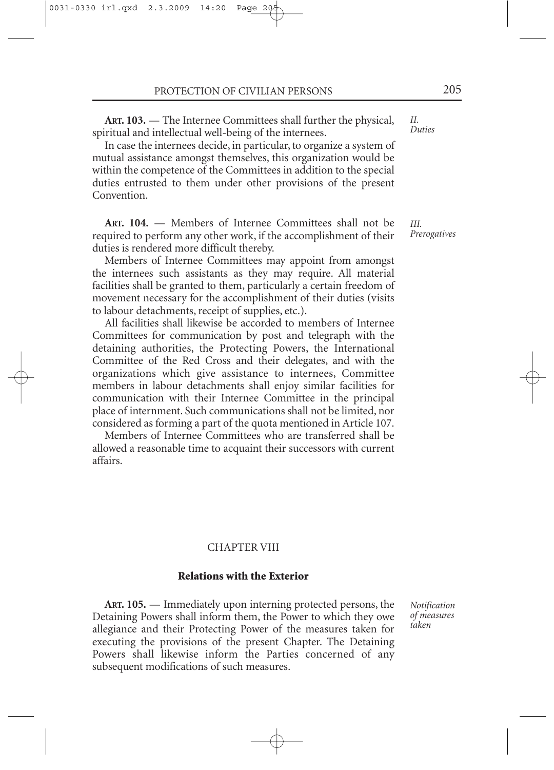**ART. 103.** — The Internee Committees shall further the physical, spiritual and intellectual well-being of the internees.

In case the internees decide, in particular, to organize a system of mutual assistance amongst themselves, this organization would be within the competence of the Committees in addition to the special duties entrusted to them under other provisions of the present Convention.

**ART. 104.** — Members of Internee Committees shall not be required to perform any other work, if the accomplishment of their duties is rendered more difficult thereby.

Members of Internee Committees may appoint from amongst the internees such assistants as they may require. All material facilities shall be granted to them, particularly a certain freedom of movement necessary for the accomplishment of their duties (visits to labour detachments, receipt of supplies, etc.).

All facilities shall likewise be accorded to members of Internee Committees for communication by post and telegraph with the detaining authorities, the Protecting Powers, the International Committee of the Red Cross and their delegates, and with the organizations which give assistance to internees, Committee members in labour detachments shall enjoy similar facilities for communication with their Internee Committee in the principal place of internment. Such communications shall not be limited, nor considered as forming a part of the quota mentioned in Article 107.

Members of Internee Committees who are transferred shall be allowed a reasonable time to acquaint their successors with current affairs.

### CHAPTER VIII

#### **Relations with the Exterior**

**ART. 105.** — Immediately upon interning protected persons, the Detaining Powers shall inform them, the Power to which they owe allegiance and their Protecting Power of the measures taken for executing the provisions of the present Chapter. The Detaining Powers shall likewise inform the Parties concerned of any subsequent modifications of such measures.

*Notification of measures taken*

*II. Duties*

*III. Prerogatives*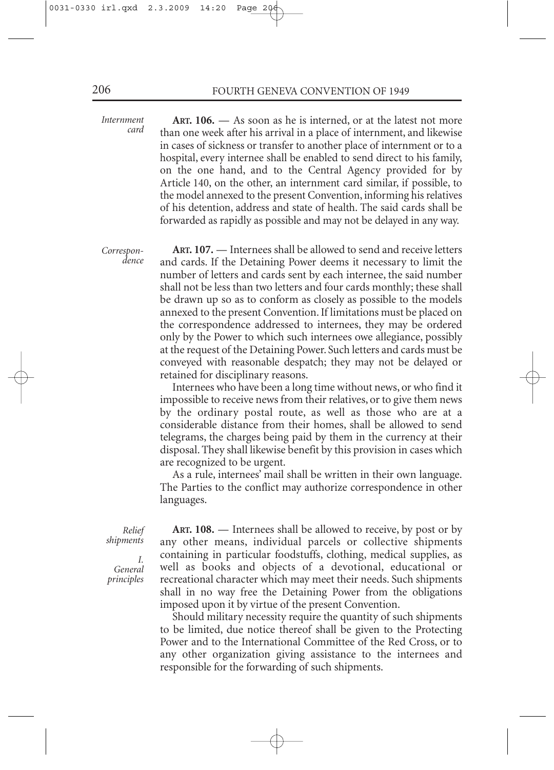**ART. 106.** — As soon as he is interned, or at the latest not more than one week after his arrival in a place of internment, and likewise in cases of sickness or transfer to another place of internment or to a hospital, every internee shall be enabled to send direct to his family, on the one hand, and to the Central Agency provided for by Article 140, on the other, an internment card similar, if possible, to the model annexed to the present Convention, informing his relatives of his detention, address and state of health. The said cards shall be forwarded as rapidly as possible and may not be delayed in any way. *Internment card*

**ART. 107.** — Internees shall be allowed to send and receive letters and cards. If the Detaining Power deems it necessary to limit the number of letters and cards sent by each internee, the said number shall not be less than two letters and four cards monthly; these shall be drawn up so as to conform as closely as possible to the models annexed to the present Convention. If limitations must be placed on the correspondence addressed to internees, they may be ordered only by the Power to which such internees owe allegiance, possibly at the request of the Detaining Power. Such letters and cards must be conveyed with reasonable despatch; they may not be delayed or retained for disciplinary reasons. *Correspondence*

> Internees who have been a long time without news, or who find it impossible to receive news from their relatives, or to give them news by the ordinary postal route, as well as those who are at a considerable distance from their homes, shall be allowed to send telegrams, the charges being paid by them in the currency at their disposal. They shall likewise benefit by this provision in cases which are recognized to be urgent.

> As a rule, internees' mail shall be written in their own language. The Parties to the conflict may authorize correspondence in other languages.

*Relief shipments*

*I. General principles*

**ART. 108.** — Internees shall be allowed to receive, by post or by any other means, individual parcels or collective shipments containing in particular foodstuffs, clothing, medical supplies, as well as books and objects of a devotional, educational or recreational character which may meet their needs. Such shipments shall in no way free the Detaining Power from the obligations imposed upon it by virtue of the present Convention.

Should military necessity require the quantity of such shipments to be limited, due notice thereof shall be given to the Protecting Power and to the International Committee of the Red Cross, or to any other organization giving assistance to the internees and responsible for the forwarding of such shipments.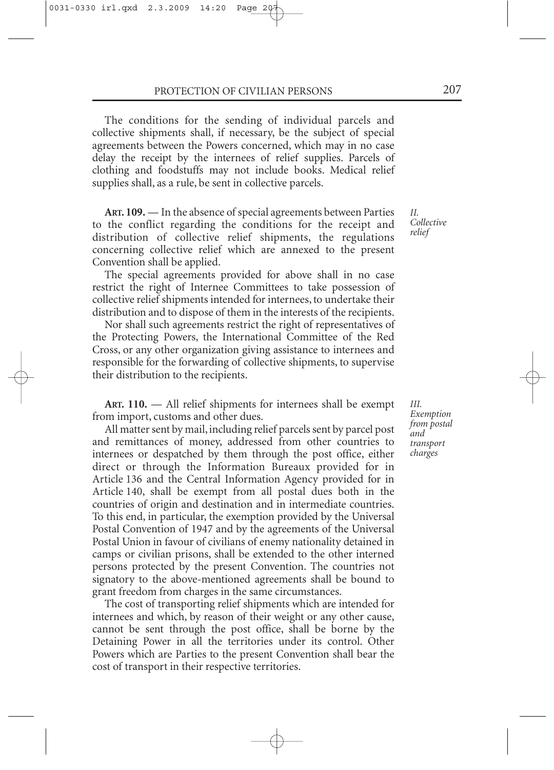The conditions for the sending of individual parcels and collective shipments shall, if necessary, be the subject of special agreements between the Powers concerned, which may in no case delay the receipt by the internees of relief supplies. Parcels of clothing and foodstuffs may not include books. Medical relief supplies shall, as a rule, be sent in collective parcels.

**ART. 109.** — In the absence of special agreements between Parties to the conflict regarding the conditions for the receipt and distribution of collective relief shipments, the regulations concerning collective relief which are annexed to the present Convention shall be applied.

The special agreements provided for above shall in no case restrict the right of Internee Committees to take possession of collective relief shipments intended for internees, to undertake their distribution and to dispose of them in the interests of the recipients.

Nor shall such agreements restrict the right of representatives of the Protecting Powers, the International Committee of the Red Cross, or any other organization giving assistance to internees and responsible for the forwarding of collective shipments, to supervise their distribution to the recipients.

**ART. 110.** — All relief shipments for internees shall be exempt from import, customs and other dues.

All matter sent by mail, including relief parcels sent by parcel post and remittances of money, addressed from other countries to internees or despatched by them through the post office, either direct or through the Information Bureaux provided for in Article 136 and the Central Information Agency provided for in Article 140, shall be exempt from all postal dues both in the countries of origin and destination and in intermediate countries. To this end, in particular, the exemption provided by the Universal Postal Convention of 1947 and by the agreements of the Universal Postal Union in favour of civilians of enemy nationality detained in camps or civilian prisons, shall be extended to the other interned persons protected by the present Convention. The countries not signatory to the above-mentioned agreements shall be bound to grant freedom from charges in the same circumstances.

The cost of transporting relief shipments which are intended for internees and which, by reason of their weight or any other cause, cannot be sent through the post office, shall be borne by the Detaining Power in all the territories under its control. Other Powers which are Parties to the present Convention shall bear the cost of transport in their respective territories.

*II. Collective relief*

*III. Exemption from postal and transport charges*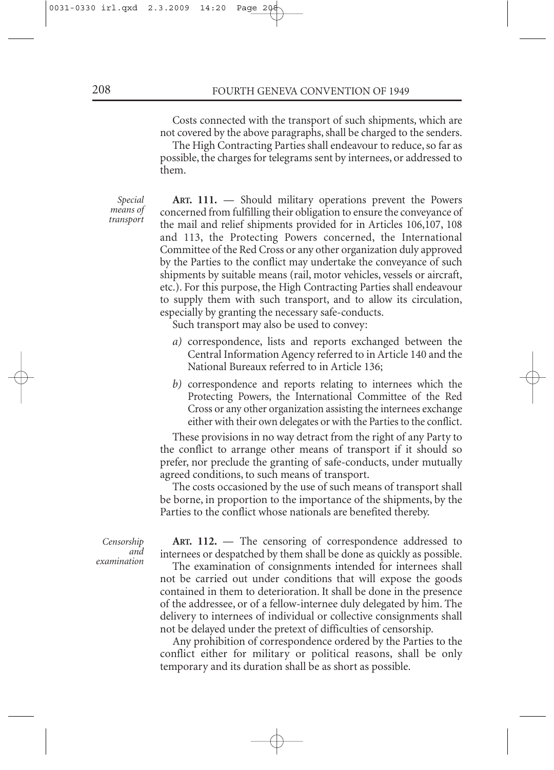Costs connected with the transport of such shipments, which are not covered by the above paragraphs, shall be charged to the senders.

The High Contracting Parties shall endeavour to reduce, so far as possible, the charges for telegrams sent by internees, or addressed to them.

*Special means of transport*

**ART. 111.** — Should military operations prevent the Powers concerned from fulfilling their obligation to ensure the conveyance of the mail and relief shipments provided for in Articles 106,107, 108 and 113, the Protecting Powers concerned, the International Committee of the Red Cross or any other organization duly approved by the Parties to the conflict may undertake the conveyance of such shipments by suitable means (rail, motor vehicles, vessels or aircraft, etc.). For this purpose, the High Contracting Parties shall endeavour to supply them with such transport, and to allow its circulation, especially by granting the necessary safe-conducts.

Such transport may also be used to convey:

- *a)* correspondence, lists and reports exchanged between the Central Information Agency referred to in Article 140 and the National Bureaux referred to in Article 136;
- *b)* correspondence and reports relating to internees which the Protecting Powers, the International Committee of the Red Cross or any other organization assisting the internees exchange either with their own delegates or with the Parties to the conflict.

These provisions in no way detract from the right of any Party to the conflict to arrange other means of transport if it should so prefer, nor preclude the granting of safe-conducts, under mutually agreed conditions, to such means of transport.

The costs occasioned by the use of such means of transport shall be borne, in proportion to the importance of the shipments, by the Parties to the conflict whose nationals are benefited thereby.

*Censorship and examination*

**ART. 112.** — The censoring of correspondence addressed to internees or despatched by them shall be done as quickly as possible.

The examination of consignments intended for internees shall not be carried out under conditions that will expose the goods contained in them to deterioration. It shall be done in the presence of the addressee, or of a fellow-internee duly delegated by him. The delivery to internees of individual or collective consignments shall not be delayed under the pretext of difficulties of censorship.

Any prohibition of correspondence ordered by the Parties to the conflict either for military or political reasons, shall be only temporary and its duration shall be as short as possible.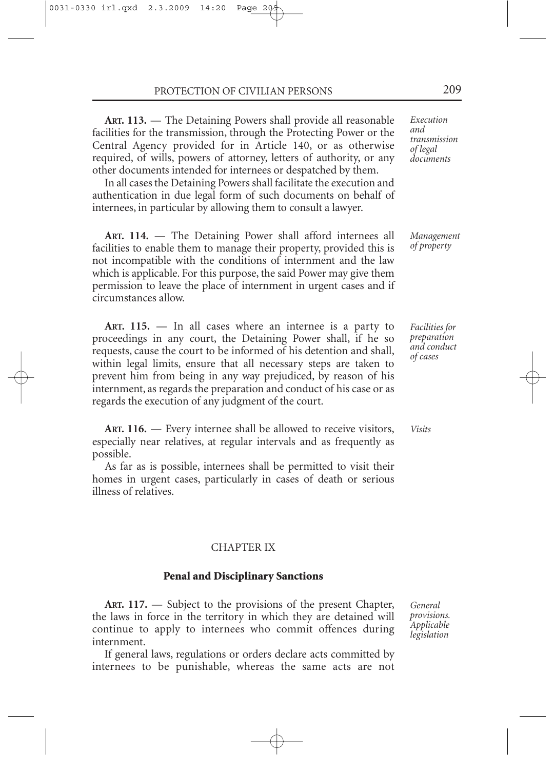**ART. 113.** — The Detaining Powers shall provide all reasonable facilities for the transmission, through the Protecting Power or the Central Agency provided for in Article 140, or as otherwise required, of wills, powers of attorney, letters of authority, or any other documents intended for internees or despatched by them.

In all cases the Detaining Powers shall facilitate the execution and authentication in due legal form of such documents on behalf of internees, in particular by allowing them to consult a lawyer.

**ART. 114.** — The Detaining Power shall afford internees all facilities to enable them to manage their property, provided this is not incompatible with the conditions of internment and the law which is applicable. For this purpose, the said Power may give them permission to leave the place of internment in urgent cases and if circumstances allow.

**ART. 115.** — In all cases where an internee is a party to proceedings in any court, the Detaining Power shall, if he so requests, cause the court to be informed of his detention and shall, within legal limits, ensure that all necessary steps are taken to prevent him from being in any way prejudiced, by reason of his internment, as regards the preparation and conduct of his case or as regards the execution of any judgment of the court.

**ART. 116.** — Every internee shall be allowed to receive visitors, especially near relatives, at regular intervals and as frequently as possible.

As far as is possible, internees shall be permitted to visit their homes in urgent cases, particularly in cases of death or serious illness of relatives.

### CHAPTER IX

#### **Penal and Disciplinary Sanctions**

**ART. 117.** — Subject to the provisions of the present Chapter, the laws in force in the territory in which they are detained will continue to apply to internees who commit offences during internment.

If general laws, regulations or orders declare acts committed by internees to be punishable, whereas the same acts are not

*Execution and transmission of legal documents*

*Management of property*

*Facilities for preparation and conduct of cases*

*Visits*

*General provisions. Applicable legislation*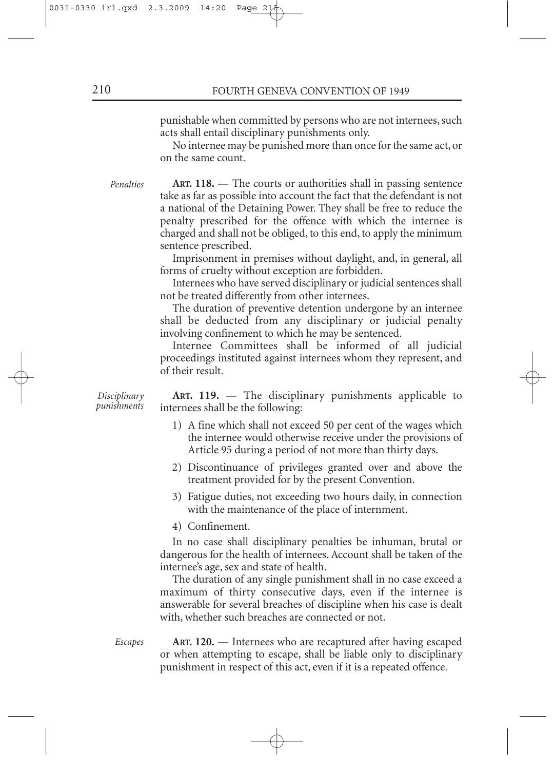punishable when committed by persons who are not internees, such acts shall entail disciplinary punishments only.

No internee may be punished more than once for the same act, or on the same count.

*Penalties*

**ART. 118.** — The courts or authorities shall in passing sentence take as far as possible into account the fact that the defendant is not a national of the Detaining Power. They shall be free to reduce the penalty prescribed for the offence with which the internee is charged and shall not be obliged, to this end, to apply the minimum sentence prescribed.

Imprisonment in premises without daylight, and, in general, all forms of cruelty without exception are forbidden.

Internees who have served disciplinary or judicial sentences shall not be treated differently from other internees.

The duration of preventive detention undergone by an internee shall be deducted from any disciplinary or judicial penalty involving confinement to which he may be sentenced.

Internee Committees shall be informed of all judicial proceedings instituted against internees whom they represent, and of their result.

**ART. 119.** — The disciplinary punishments applicable to internees shall be the following: 1) A fine which shall not exceed 50 per cent of the wages which the internee would otherwise receive under the provisions of Article 95 during a period of not more than thirty days. 2) Discontinuance of privileges granted over and above the treatment provided for by the present Convention. 3) Fatigue duties, not exceeding two hours daily, in connection with the maintenance of the place of internment. *Disciplinary punishments*

4) Confinement.

In no case shall disciplinary penalties be inhuman, brutal or dangerous for the health of internees. Account shall be taken of the internee's age, sex and state of health.

The duration of any single punishment shall in no case exceed a maximum of thirty consecutive days, even if the internee is answerable for several breaches of discipline when his case is dealt with, whether such breaches are connected or not.

**ART. 120.** — Internees who are recaptured after having escaped or when attempting to escape, shall be liable only to disciplinary punishment in respect of this act, even if it is a repeated offence. *Escapes*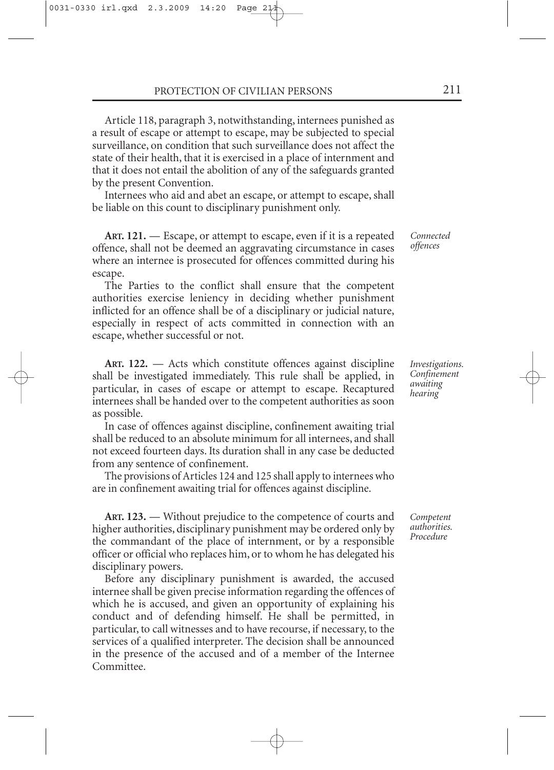Article 118, paragraph 3, notwithstanding, internees punished as a result of escape or attempt to escape, may be subjected to special surveillance, on condition that such surveillance does not affect the state of their health, that it is exercised in a place of internment and that it does not entail the abolition of any of the safeguards granted by the present Convention.

Internees who aid and abet an escape, or attempt to escape, shall be liable on this count to disciplinary punishment only.

**ART. 121.** — Escape, or attempt to escape, even if it is a repeated offence, shall not be deemed an aggravating circumstance in cases where an internee is prosecuted for offences committed during his escape.

The Parties to the conflict shall ensure that the competent authorities exercise leniency in deciding whether punishment inflicted for an offence shall be of a disciplinary or judicial nature, especially in respect of acts committed in connection with an escape, whether successful or not.

**ART. 122.** — Acts which constitute offences against discipline shall be investigated immediately. This rule shall be applied, in particular, in cases of escape or attempt to escape. Recaptured internees shall be handed over to the competent authorities as soon as possible.

In case of offences against discipline, confinement awaiting trial shall be reduced to an absolute minimum for all internees, and shall not exceed fourteen days. Its duration shall in any case be deducted from any sentence of confinement.

The provisions of Articles 124 and 125 shall apply to internees who are in confinement awaiting trial for offences against discipline.

**ART. 123.** — Without prejudice to the competence of courts and higher authorities, disciplinary punishment may be ordered only by the commandant of the place of internment, or by a responsible officer or official who replaces him, or to whom he has delegated his disciplinary powers.

Before any disciplinary punishment is awarded, the accused internee shall be given precise information regarding the offences of which he is accused, and given an opportunity of explaining his conduct and of defending himself. He shall be permitted, in particular, to call witnesses and to have recourse, if necessary, to the services of a qualified interpreter. The decision shall be announced in the presence of the accused and of a member of the Internee Committee.

*Connected offences*

*Investigations. Confinement awaiting hearing*

*Competent authorities. Procedure*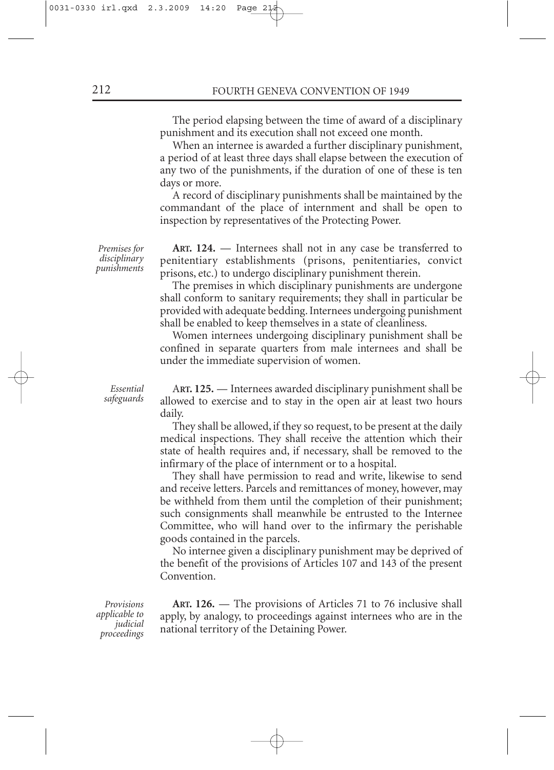The period elapsing between the time of award of a disciplinary punishment and its execution shall not exceed one month.

When an internee is awarded a further disciplinary punishment, a period of at least three days shall elapse between the execution of any two of the punishments, if the duration of one of these is ten days or more.

A record of disciplinary punishments shall be maintained by the commandant of the place of internment and shall be open to inspection by representatives of the Protecting Power.

**ART. 124.** — Internees shall not in any case be transferred to penitentiary establishments (prisons, penitentiaries, convict prisons, etc.) to undergo disciplinary punishment therein.

The premises in which disciplinary punishments are undergone shall conform to sanitary requirements; they shall in particular be provided with adequate bedding. Internees undergoing punishment shall be enabled to keep themselves in a state of cleanliness.

Women internees undergoing disciplinary punishment shall be confined in separate quarters from male internees and shall be under the immediate supervision of women.

A**RT. 125.** — Internees awarded disciplinary punishment shall be allowed to exercise and to stay in the open air at least two hours daily.

They shall be allowed, if they so request, to be present at the daily medical inspections. They shall receive the attention which their state of health requires and, if necessary, shall be removed to the infirmary of the place of internment or to a hospital.

They shall have permission to read and write, likewise to send and receive letters. Parcels and remittances of money, however, may be withheld from them until the completion of their punishment; such consignments shall meanwhile be entrusted to the Internee Committee, who will hand over to the infirmary the perishable goods contained in the parcels.

No internee given a disciplinary punishment may be deprived of the benefit of the provisions of Articles 107 and 143 of the present Convention.

**ART. 126.** — The provisions of Articles 71 to 76 inclusive shall apply, by analogy, to proceedings against internees who are in the national territory of the Detaining Power.

*Premises for disciplinary punishments*

> *Essential safeguards*

*Provisions applicable to judicial proceedings*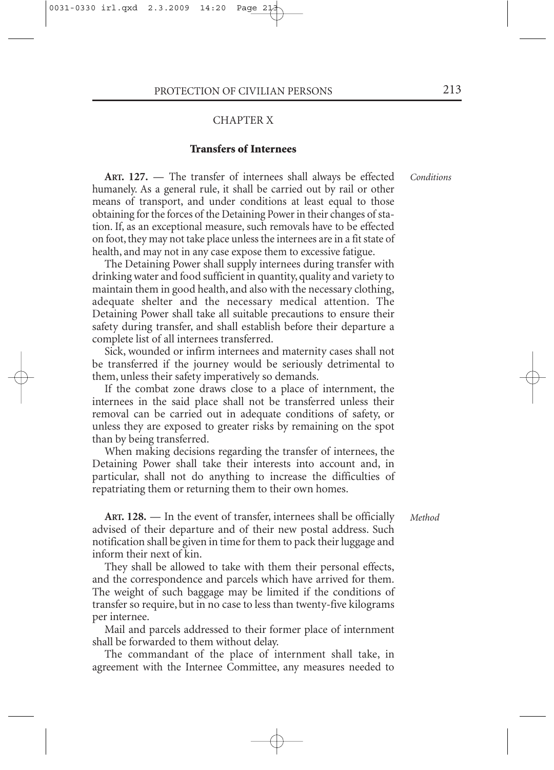## CHAPTER X

### **Transfers of Internees**

**ART. 127.** — The transfer of internees shall always be effected humanely. As a general rule, it shall be carried out by rail or other means of transport, and under conditions at least equal to those obtaining for the forces of the Detaining Power in their changes of station. If, as an exceptional measure, such removals have to be effected on foot, they may not take place unless the internees are in a fit state of health, and may not in any case expose them to excessive fatigue.

The Detaining Power shall supply internees during transfer with drinking water and food sufficient in quantity, quality and variety to maintain them in good health, and also with the necessary clothing, adequate shelter and the necessary medical attention. The Detaining Power shall take all suitable precautions to ensure their safety during transfer, and shall establish before their departure a complete list of all internees transferred.

Sick, wounded or infirm internees and maternity cases shall not be transferred if the journey would be seriously detrimental to them, unless their safety imperatively so demands.

If the combat zone draws close to a place of internment, the internees in the said place shall not be transferred unless their removal can be carried out in adequate conditions of safety, or unless they are exposed to greater risks by remaining on the spot than by being transferred.

When making decisions regarding the transfer of internees, the Detaining Power shall take their interests into account and, in particular, shall not do anything to increase the difficulties of repatriating them or returning them to their own homes.

**ART. 128.** — In the event of transfer, internees shall be officially advised of their departure and of their new postal address. Such notification shall be given in time for them to pack their luggage and inform their next of kin.

They shall be allowed to take with them their personal effects, and the correspondence and parcels which have arrived for them. The weight of such baggage may be limited if the conditions of transfer so require, but in no case to less than twenty-five kilograms per internee.

Mail and parcels addressed to their former place of internment shall be forwarded to them without delay.

The commandant of the place of internment shall take, in agreement with the Internee Committee, any measures needed to *Conditions*

*Method*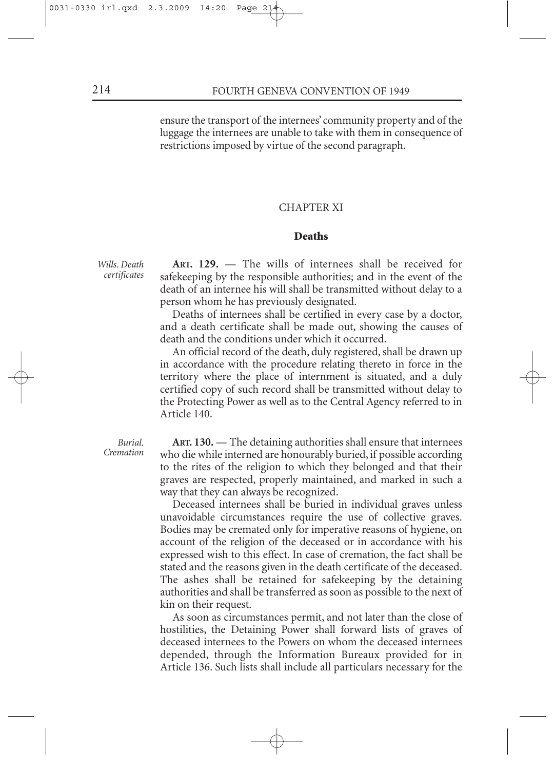ensure the transport of the internees' community property and of the luggage the internees are unable to take with them in consequence of restrictions imposed by virtue of the second paragraph.

### CHAPTER XI

## **Deaths**

*Wills. Death certificates*

**ART. 129.** — The wills of internees shall be received for safekeeping by the responsible authorities; and in the event of the death of an internee his will shall be transmitted without delay to a person whom he has previously designated.

Deaths of internees shall be certified in every case by a doctor, and a death certificate shall be made out, showing the causes of death and the conditions under which it occurred.

An official record of the death, duly registered, shall be drawn up in accordance with the procedure relating thereto in force in the territory where the place of internment is situated, and a duly certified copy of such record shall be transmitted without delay to the Protecting Power as well as to the Central Agency referred to in Article 140.

*Burial. Cremation*

**ART. 130.** — The detaining authorities shall ensure that internees who die while interned are honourably buried, if possible according to the rites of the religion to which they belonged and that their graves are respected, properly maintained, and marked in such a way that they can always be recognized.

Deceased internees shall be buried in individual graves unless unavoidable circumstances require the use of collective graves. Bodies may be cremated only for imperative reasons of hygiene, on account of the religion of the deceased or in accordance with his expressed wish to this effect. In case of cremation, the fact shall be stated and the reasons given in the death certificate of the deceased. The ashes shall be retained for safekeeping by the detaining authorities and shall be transferred as soon as possible to the next of kin on their request.

As soon as circumstances permit, and not later than the close of hostilities, the Detaining Power shall forward lists of graves of deceased internees to the Powers on whom the deceased internees depended, through the Information Bureaux provided for in Article 136. Such lists shall include all particulars necessary for the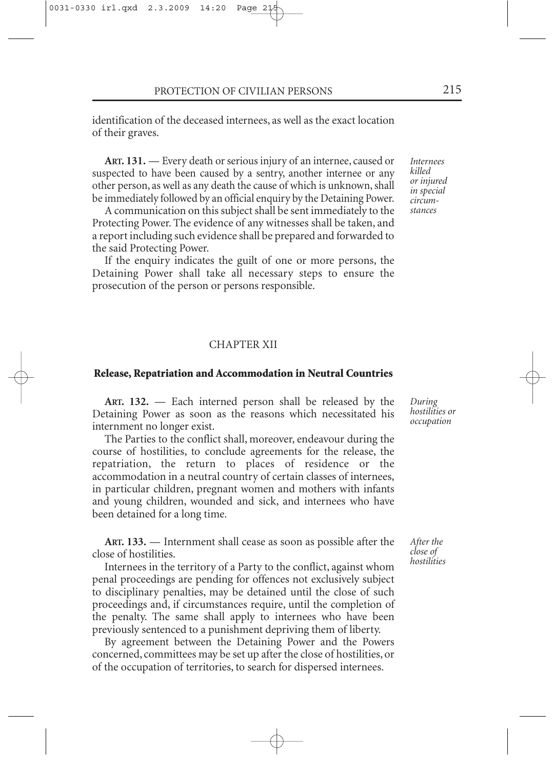identification of the deceased internees, as well as the exact location of their graves.

**ART. 131.** — Every death or serious injury of an internee, caused or suspected to have been caused by a sentry, another internee or any other person, as well as any death the cause of which is unknown, shall be immediately followed by an official enquiry by the Detaining Power.

A communication on this subject shall be sent immediately to the Protecting Power. The evidence of any witnesses shall be taken, and a report including such evidence shall be prepared and forwarded to the said Protecting Power.

If the enquiry indicates the guilt of one or more persons, the Detaining Power shall take all necessary steps to ensure the prosecution of the person or persons responsible.

### CHAPTER XII

#### **Release, Repatriation and Accommodation in Neutral Countries**

**ART. 132.** — Each interned person shall be released by the Detaining Power as soon as the reasons which necessitated his internment no longer exist.

The Parties to the conflict shall, moreover, endeavour during the course of hostilities, to conclude agreements for the release, the repatriation, the return to places of residence or the accommodation in a neutral country of certain classes of internees, in particular children, pregnant women and mothers with infants and young children, wounded and sick, and internees who have been detained for a long time.

**ART. 133.** — Internment shall cease as soon as possible after the close of hostilities.

Internees in the territory of a Party to the conflict, against whom penal proceedings are pending for offences not exclusively subject to disciplinary penalties, may be detained until the close of such proceedings and, if circumstances require, until the completion of the penalty. The same shall apply to internees who have been previously sentenced to a punishment depriving them of liberty.

By agreement between the Detaining Power and the Powers concerned, committees may be set up after the close of hostilities, or of the occupation of territories, to search for dispersed internees.

*During hostilities or occupation*

*After the close of hostilities*

*Internees killed or injured in special circumstances*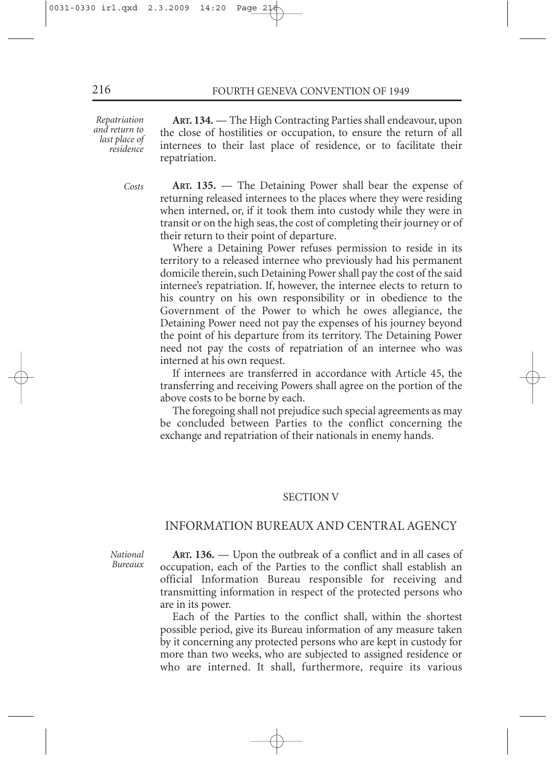*Repatriation and return to last place of residence*

*Costs*

**ART. 134.** — The High Contracting Parties shall endeavour, upon the close of hostilities or occupation, to ensure the return of all internees to their last place of residence, or to facilitate their repatriation.

**ART. 135.** — The Detaining Power shall bear the expense of returning released internees to the places where they were residing when interned, or, if it took them into custody while they were in transit or on the high seas, the cost of completing their journey or of their return to their point of departure.

Where a Detaining Power refuses permission to reside in its territory to a released internee who previously had his permanent domicile therein, such Detaining Power shall pay the cost of the said internee's repatriation. If, however, the internee elects to return to his country on his own responsibility or in obedience to the Government of the Power to which he owes allegiance, the Detaining Power need not pay the expenses of his journey beyond the point of his departure from its territory. The Detaining Power need not pay the costs of repatriation of an internee who was interned at his own request.

If internees are transferred in accordance with Article 45, the transferring and receiving Powers shall agree on the portion of the above costs to be borne by each.

The foregoing shall not prejudice such special agreements as may be concluded between Parties to the conflict concerning the exchange and repatriation of their nationals in enemy hands.

### SECTION V

## INFORMATION BUREAUX AND CENTRAL AGENCY

*National Bureaux*

**ART. 136.** — Upon the outbreak of a conflict and in all cases of occupation, each of the Parties to the conflict shall establish an official Information Bureau responsible for receiving and transmitting information in respect of the protected persons who are in its power.

Each of the Parties to the conflict shall, within the shortest possible period, give its Bureau information of any measure taken by it concerning any protected persons who are kept in custody for more than two weeks, who are subjected to assigned residence or who are interned. It shall, furthermore, require its various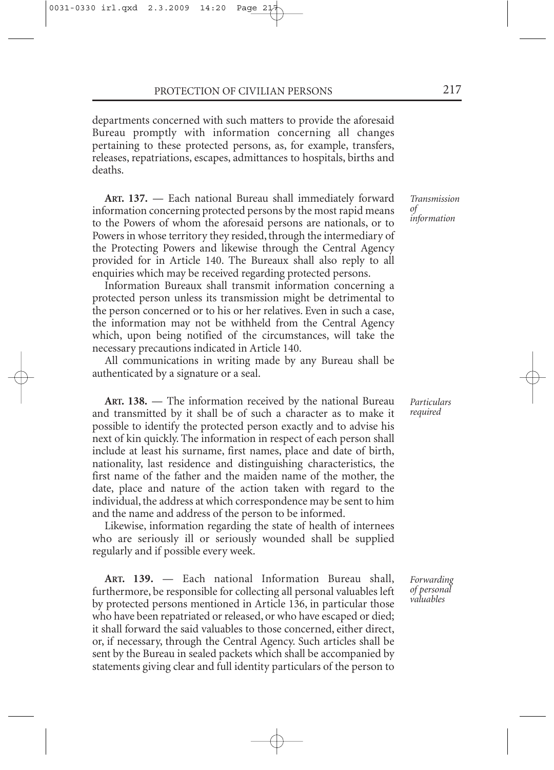departments concerned with such matters to provide the aforesaid Bureau promptly with information concerning all changes pertaining to these protected persons, as, for example, transfers, releases, repatriations, escapes, admittances to hospitals, births and deaths.

**ART. 137.** — Each national Bureau shall immediately forward information concerning protected persons by the most rapid means to the Powers of whom the aforesaid persons are nationals, or to Powers in whose territory they resided, through the intermediary of the Protecting Powers and likewise through the Central Agency provided for in Article 140. The Bureaux shall also reply to all enquiries which may be received regarding protected persons.

Information Bureaux shall transmit information concerning a protected person unless its transmission might be detrimental to the person concerned or to his or her relatives. Even in such a case, the information may not be withheld from the Central Agency which, upon being notified of the circumstances, will take the necessary precautions indicated in Article 140.

All communications in writing made by any Bureau shall be authenticated by a signature or a seal.

**ART. 138.** — The information received by the national Bureau and transmitted by it shall be of such a character as to make it possible to identify the protected person exactly and to advise his next of kin quickly. The information in respect of each person shall include at least his surname, first names, place and date of birth, nationality, last residence and distinguishing characteristics, the first name of the father and the maiden name of the mother, the date, place and nature of the action taken with regard to the individual, the address at which correspondence may be sent to him and the name and address of the person to be informed.

Likewise, information regarding the state of health of internees who are seriously ill or seriously wounded shall be supplied regularly and if possible every week.

**ART. 139.** — Each national Information Bureau shall, furthermore, be responsible for collecting all personal valuables left by protected persons mentioned in Article 136, in particular those who have been repatriated or released, or who have escaped or died; it shall forward the said valuables to those concerned, either direct, or, if necessary, through the Central Agency. Such articles shall be sent by the Bureau in sealed packets which shall be accompanied by statements giving clear and full identity particulars of the person to *Transmission of information*

*Particulars required*

*Forwarding of personal valuables*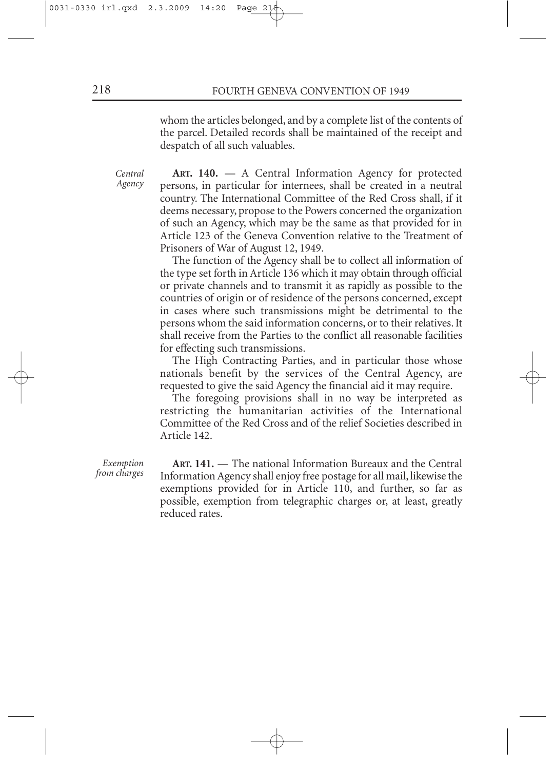whom the articles belonged, and by a complete list of the contents of the parcel. Detailed records shall be maintained of the receipt and despatch of all such valuables.

*Central Agency*

**ART. 140.** — A Central Information Agency for protected persons, in particular for internees, shall be created in a neutral country. The International Committee of the Red Cross shall, if it deems necessary, propose to the Powers concerned the organization of such an Agency, which may be the same as that provided for in Article 123 of the Geneva Convention relative to the Treatment of Prisoners of War of August 12, 1949.

The function of the Agency shall be to collect all information of the type set forth in Article 136 which it may obtain through official or private channels and to transmit it as rapidly as possible to the countries of origin or of residence of the persons concerned, except in cases where such transmissions might be detrimental to the persons whom the said information concerns, or to their relatives. It shall receive from the Parties to the conflict all reasonable facilities for effecting such transmissions.

The High Contracting Parties, and in particular those whose nationals benefit by the services of the Central Agency, are requested to give the said Agency the financial aid it may require.

The foregoing provisions shall in no way be interpreted as restricting the humanitarian activities of the International Committee of the Red Cross and of the relief Societies described in Article 142.

**ART. 141.** — The national Information Bureaux and the Central Information Agency shall enjoy free postage for all mail, likewise the exemptions provided for in Article 110, and further, so far as possible, exemption from telegraphic charges or, at least, greatly reduced rates.

*Exemption from charges*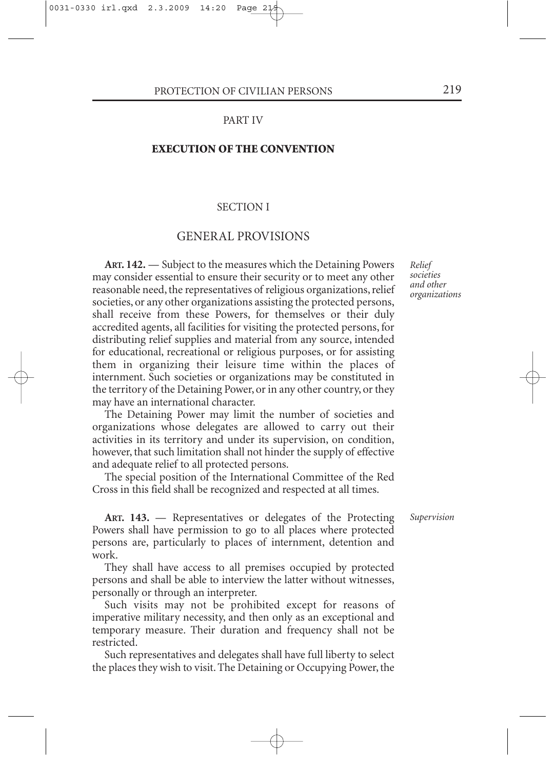#### PART IV

### **EXECUTION OF THE CONVENTION**

#### SECTION I

## GENERAL PROVISIONS

**ART. 142.** — Subject to the measures which the Detaining Powers may consider essential to ensure their security or to meet any other reasonable need, the representatives of religious organizations, relief societies, or any other organizations assisting the protected persons, shall receive from these Powers, for themselves or their duly accredited agents, all facilities for visiting the protected persons, for distributing relief supplies and material from any source, intended for educational, recreational or religious purposes, or for assisting them in organizing their leisure time within the places of internment. Such societies or organizations may be constituted in the territory of the Detaining Power, or in any other country, or they may have an international character.

The Detaining Power may limit the number of societies and organizations whose delegates are allowed to carry out their activities in its territory and under its supervision, on condition, however, that such limitation shall not hinder the supply of effective and adequate relief to all protected persons.

The special position of the International Committee of the Red Cross in this field shall be recognized and respected at all times.

**ART. 143.** — Representatives or delegates of the Protecting Powers shall have permission to go to all places where protected persons are, particularly to places of internment, detention and work.

They shall have access to all premises occupied by protected persons and shall be able to interview the latter without witnesses, personally or through an interpreter.

Such visits may not be prohibited except for reasons of imperative military necessity, and then only as an exceptional and temporary measure. Their duration and frequency shall not be restricted.

Such representatives and delegates shall have full liberty to select the places they wish to visit. The Detaining or Occupying Power, the *Relief societies and other organizations*

*Supervision*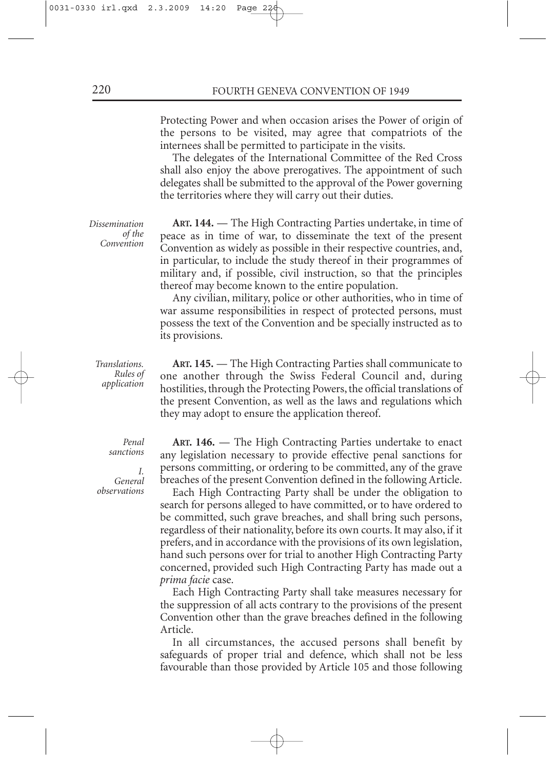Protecting Power and when occasion arises the Power of origin of the persons to be visited, may agree that compatriots of the internees shall be permitted to participate in the visits.

The delegates of the International Committee of the Red Cross shall also enjoy the above prerogatives. The appointment of such delegates shall be submitted to the approval of the Power governing the territories where they will carry out their duties.

**ART. 144.** — The High Contracting Parties undertake, in time of peace as in time of war, to disseminate the text of the present Convention as widely as possible in their respective countries, and, in particular, to include the study thereof in their programmes of military and, if possible, civil instruction, so that the principles thereof may become known to the entire population.

Any civilian, military, police or other authorities, who in time of war assume responsibilities in respect of protected persons, must possess the text of the Convention and be specially instructed as to its provisions.

**ART. 145.** — The High Contracting Parties shall communicate to one another through the Swiss Federal Council and, during hostilities, through the Protecting Powers, the official translations of the present Convention, as well as the laws and regulations which they may adopt to ensure the application thereof.

**ART. 146.** — The High Contracting Parties undertake to enact any legislation necessary to provide effective penal sanctions for persons committing, or ordering to be committed, any of the grave breaches of the present Convention defined in the following Article.

Each High Contracting Party shall be under the obligation to search for persons alleged to have committed, or to have ordered to be committed, such grave breaches, and shall bring such persons, regardless of their nationality, before its own courts. It may also, if it prefers, and in accordance with the provisions of its own legislation, hand such persons over for trial to another High Contracting Party concerned, provided such High Contracting Party has made out a *prima facie* case.

Each High Contracting Party shall take measures necessary for the suppression of all acts contrary to the provisions of the present Convention other than the grave breaches defined in the following Article.

In all circumstances, the accused persons shall benefit by safeguards of proper trial and defence, which shall not be less favourable than those provided by Article 105 and those following

*Dissemination of the Convention*

> *Translations. Rules of application*

> > *Penal sanctions*

*I. General observations*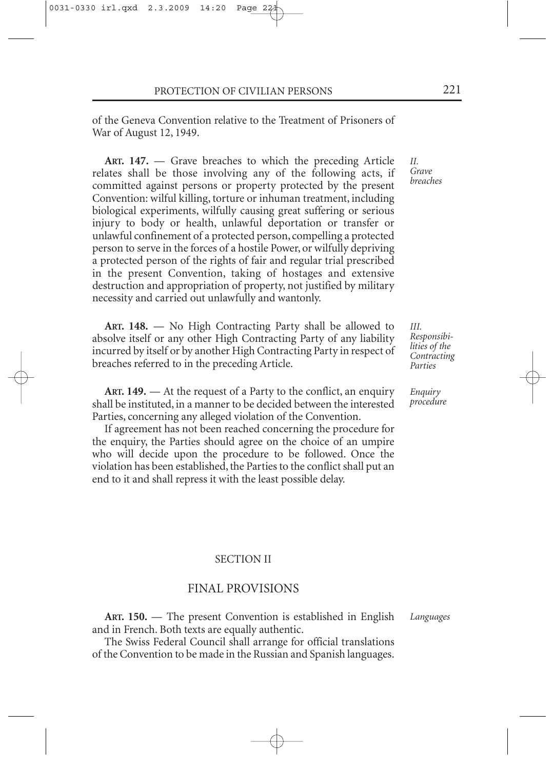of the Geneva Convention relative to the Treatment of Prisoners of War of August 12, 1949.

**ART. 147.** — Grave breaches to which the preceding Article relates shall be those involving any of the following acts, if committed against persons or property protected by the present Convention: wilful killing, torture or inhuman treatment, including biological experiments, wilfully causing great suffering or serious injury to body or health, unlawful deportation or transfer or unlawful confinement of a protected person, compelling a protected person to serve in the forces of a hostile Power, or wilfully depriving a protected person of the rights of fair and regular trial prescribed in the present Convention, taking of hostages and extensive destruction and appropriation of property, not justified by military necessity and carried out unlawfully and wantonly.

**ART. 148.** — No High Contracting Party shall be allowed to absolve itself or any other High Contracting Party of any liability incurred by itself or by another High Contracting Party in respect of breaches referred to in the preceding Article.

**ART. 149.** — At the request of a Party to the conflict, an enquiry shall be instituted, in a manner to be decided between the interested Parties, concerning any alleged violation of the Convention.

If agreement has not been reached concerning the procedure for the enquiry, the Parties should agree on the choice of an umpire who will decide upon the procedure to be followed. Once the violation has been established, the Parties to the conflict shall put an end to it and shall repress it with the least possible delay.

#### *II. Grave breaches*

*III. Responsibilities of the Contracting Parties*

*Enquiry procedure*

*Languages*

#### SECTION II

## FINAL PROVISIONS

**ART. 150.** — The present Convention is established in English and in French. Both texts are equally authentic.

The Swiss Federal Council shall arrange for official translations of the Convention to be made in the Russian and Spanish languages.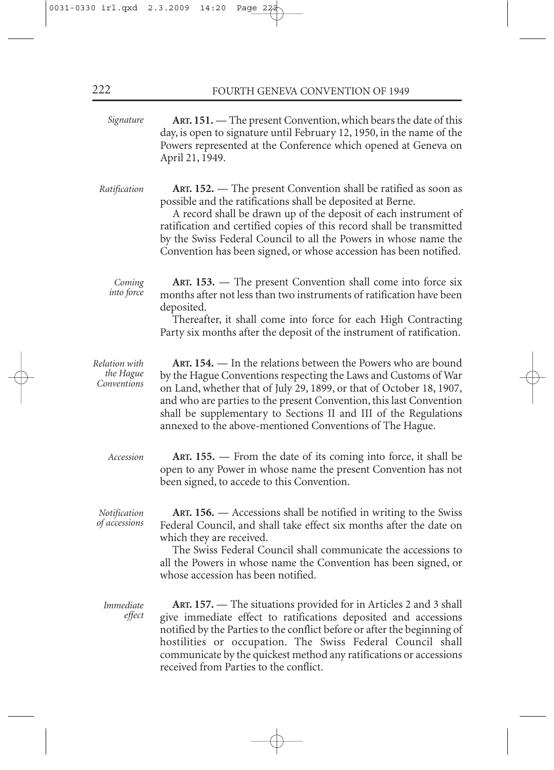**ART. 151.** — The present Convention, which bears the date of this day, is open to signature until February 12, 1950, in the name of the Powers represented at the Conference which opened at Geneva on April 21, 1949. *Signature*

#### **ART. 152.** — The present Convention shall be ratified as soon as possible and the ratifications shall be deposited at Berne. *Ratification*

A record shall be drawn up of the deposit of each instrument of ratification and certified copies of this record shall be transmitted by the Swiss Federal Council to all the Powers in whose name the Convention has been signed, or whose accession has been notified.

**ART. 153.** — The present Convention shall come into force six months after not less than two instruments of ratification have been deposited. *Coming into force*

> Thereafter, it shall come into force for each High Contracting Party six months after the deposit of the instrument of ratification.

**ART. 154.** — In the relations between the Powers who are bound by the Hague Conventions respecting the Laws and Customs of War on Land, whether that of July 29, 1899, or that of October 18, 1907, and who are parties to the present Convention, this last Convention shall be supplementary to Sections II and III of the Regulations annexed to the above-mentioned Conventions of The Hague. *Relation with the Hague Conventions*

**ART. 155.** — From the date of its coming into force, it shall be open to any Power in whose name the present Convention has not been signed, to accede to this Convention. *Accession*

**ART. 156.** — Accessions shall be notified in writing to the Swiss Federal Council, and shall take effect six months after the date on which they are received. *Notification of accessions*

The Swiss Federal Council shall communicate the accessions to all the Powers in whose name the Convention has been signed, or whose accession has been notified.

**ART. 157.** — The situations provided for in Articles 2 and 3 shall give immediate effect to ratifications deposited and accessions notified by the Parties to the conflict before or after the beginning of hostilities or occupation. The Swiss Federal Council shall communicate by the quickest method any ratifications or accessions received from Parties to the conflict. *Immediate effect*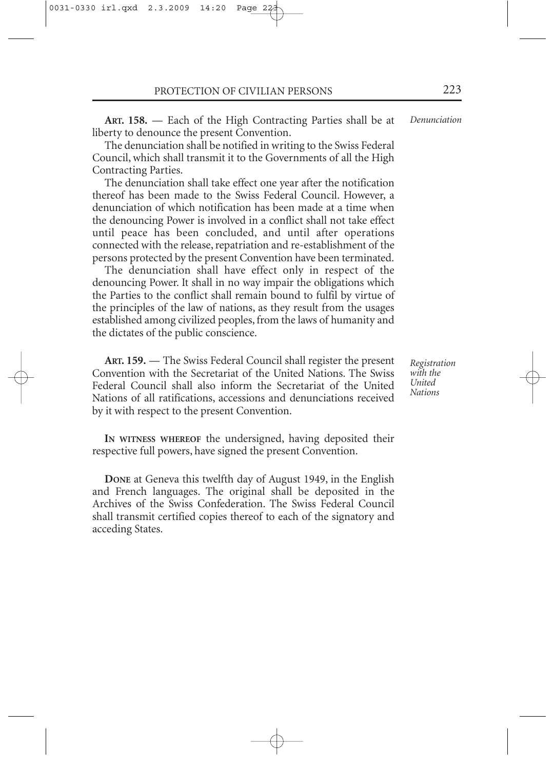**ART. 158.** — Each of the High Contracting Parties shall be at liberty to denounce the present Convention. *Denunciation*

The denunciation shall be notified in writing to the Swiss Federal Council, which shall transmit it to the Governments of all the High Contracting Parties.

The denunciation shall take effect one year after the notification thereof has been made to the Swiss Federal Council. However, a denunciation of which notification has been made at a time when the denouncing Power is involved in a conflict shall not take effect until peace has been concluded, and until after operations connected with the release, repatriation and re-establishment of the persons protected by the present Convention have been terminated.

The denunciation shall have effect only in respect of the denouncing Power. It shall in no way impair the obligations which the Parties to the conflict shall remain bound to fulfil by virtue of the principles of the law of nations, as they result from the usages established among civilized peoples, from the laws of humanity and the dictates of the public conscience.

**ART. 159.** — The Swiss Federal Council shall register the present Convention with the Secretariat of the United Nations. The Swiss Federal Council shall also inform the Secretariat of the United Nations of all ratifications, accessions and denunciations received by it with respect to the present Convention.

**IN WITNESS WHEREOF** the undersigned, having deposited their respective full powers, have signed the present Convention.

**DONE** at Geneva this twelfth day of August 1949, in the English and French languages. The original shall be deposited in the Archives of the Swiss Confederation. The Swiss Federal Council shall transmit certified copies thereof to each of the signatory and acceding States.

*Registration with the United Nations*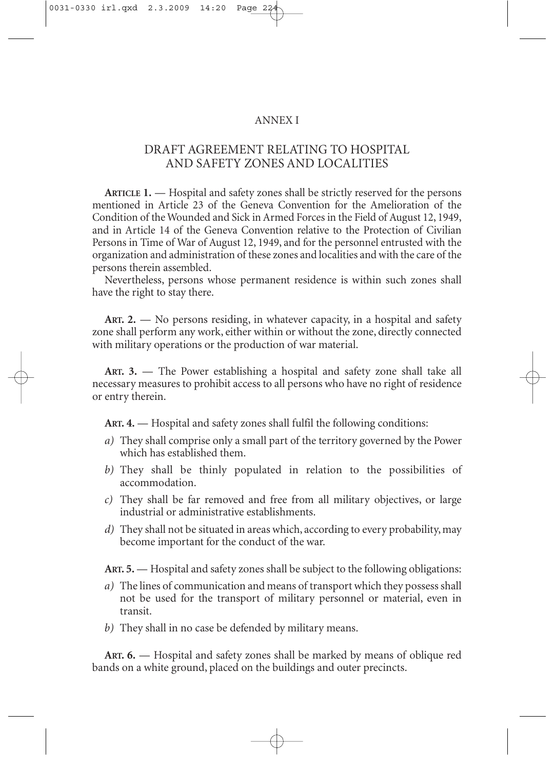## ANNEX I

## DRAFT AGREEMENT RELATING TO HOSPITAL AND SAFETY ZONES AND LOCALITIES

**ARTICLE 1.** — Hospital and safety zones shall be strictly reserved for the persons mentioned in Article 23 of the Geneva Convention for the Amelioration of the Condition of the Wounded and Sick in Armed Forces in the Field of August 12, 1949, and in Article 14 of the Geneva Convention relative to the Protection of Civilian Persons in Time of War of August 12, 1949, and for the personnel entrusted with the organization and administration of these zones and localities and with the care of the persons therein assembled.

Nevertheless, persons whose permanent residence is within such zones shall have the right to stay there.

**ART. 2.** — No persons residing, in whatever capacity, in a hospital and safety zone shall perform any work, either within or without the zone, directly connected with military operations or the production of war material.

**ART. 3.** — The Power establishing a hospital and safety zone shall take all necessary measures to prohibit access to all persons who have no right of residence or entry therein.

**ART. 4.** — Hospital and safety zones shall fulfil the following conditions:

- *a)* They shall comprise only a small part of the territory governed by the Power which has established them.
- *b)* They shall be thinly populated in relation to the possibilities of accommodation.
- *c)* They shall be far removed and free from all military objectives, or large industrial or administrative establishments.
- *d)* They shall not be situated in areas which, according to every probability, may become important for the conduct of the war.

**ART. 5.**— Hospital and safety zones shall be subject to the following obligations:

- *a)* The lines of communication and means of transport which they possess shall not be used for the transport of military personnel or material, even in transit.
- *b)* They shall in no case be defended by military means.

**ART. 6.** — Hospital and safety zones shall be marked by means of oblique red bands on a white ground, placed on the buildings and outer precincts.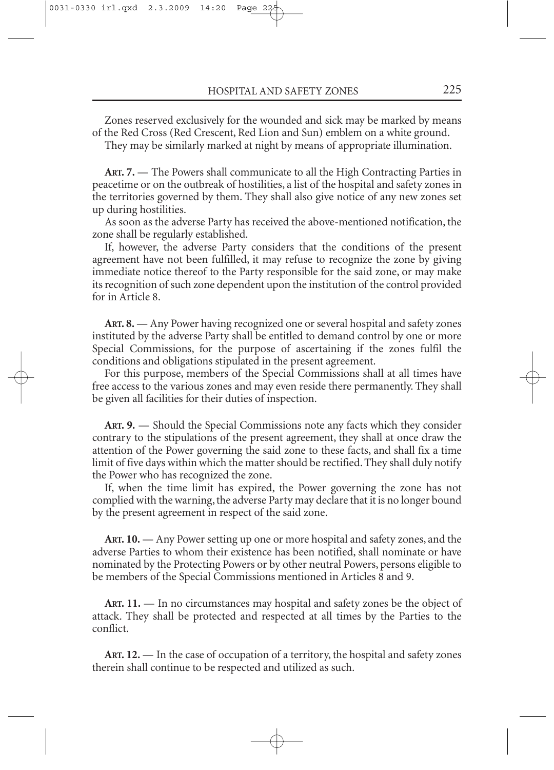Zones reserved exclusively for the wounded and sick may be marked by means of the Red Cross (Red Crescent, Red Lion and Sun) emblem on a white ground.

They may be similarly marked at night by means of appropriate illumination.

**ART. 7.** — The Powers shall communicate to all the High Contracting Parties in peacetime or on the outbreak of hostilities, a list of the hospital and safety zones in the territories governed by them. They shall also give notice of any new zones set up during hostilities.

As soon as the adverse Party has received the above-mentioned notification, the zone shall be regularly established.

If, however, the adverse Party considers that the conditions of the present agreement have not been fulfilled, it may refuse to recognize the zone by giving immediate notice thereof to the Party responsible for the said zone, or may make its recognition of such zone dependent upon the institution of the control provided for in Article 8.

**ART. 8.**— Any Power having recognized one or several hospital and safety zones instituted by the adverse Party shall be entitled to demand control by one or more Special Commissions, for the purpose of ascertaining if the zones fulfil the conditions and obligations stipulated in the present agreement.

For this purpose, members of the Special Commissions shall at all times have free access to the various zones and may even reside there permanently. They shall be given all facilities for their duties of inspection.

**ART. 9.** — Should the Special Commissions note any facts which they consider contrary to the stipulations of the present agreement, they shall at once draw the attention of the Power governing the said zone to these facts, and shall fix a time limit of five days within which the matter should be rectified. They shall duly notify the Power who has recognized the zone.

If, when the time limit has expired, the Power governing the zone has not complied with the warning, the adverse Party may declare that it is no longer bound by the present agreement in respect of the said zone.

**ART. 10.** — Any Power setting up one or more hospital and safety zones, and the adverse Parties to whom their existence has been notified, shall nominate or have nominated by the Protecting Powers or by other neutral Powers, persons eligible to be members of the Special Commissions mentioned in Articles 8 and 9.

**ART. 11.** — In no circumstances may hospital and safety zones be the object of attack. They shall be protected and respected at all times by the Parties to the conflict.

**ART. 12.** — In the case of occupation of a territory, the hospital and safety zones therein shall continue to be respected and utilized as such.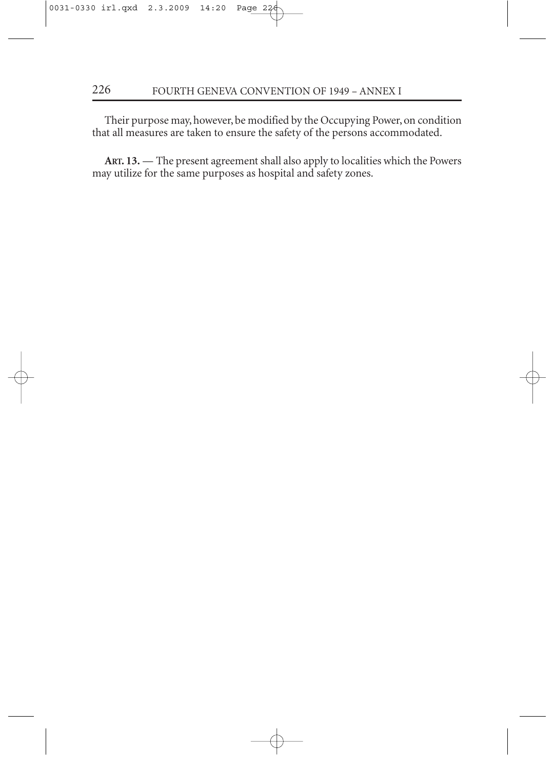Their purpose may, however, be modified by the Occupying Power, on condition that all measures are taken to ensure the safety of the persons accommodated.

**ART. 13.** — The present agreement shall also apply to localities which the Powers may utilize for the same purposes as hospital and safety zones.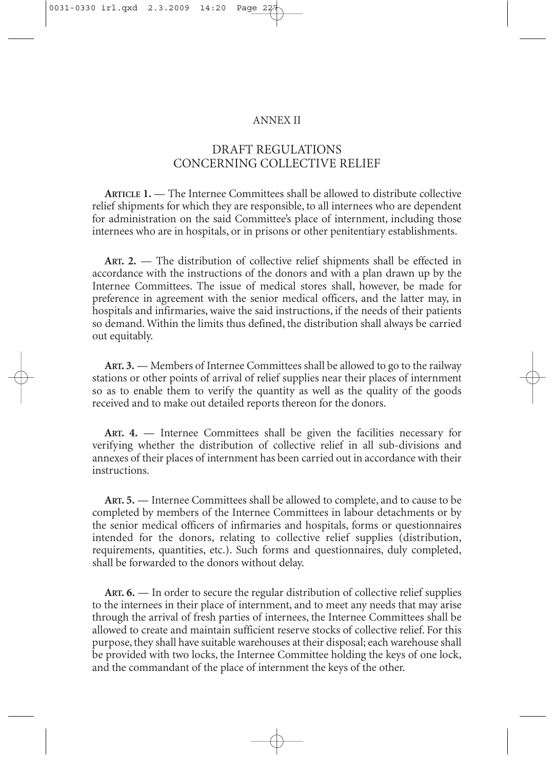### ANNEX II

## DRAFT REGULATIONS CONCERNING COLLECTIVE RELIEF

**ARTICLE 1.** — The Internee Committees shall be allowed to distribute collective relief shipments for which they are responsible, to all internees who are dependent for administration on the said Committee's place of internment, including those internees who are in hospitals, or in prisons or other penitentiary establishments.

**ART. 2.** — The distribution of collective relief shipments shall be effected in accordance with the instructions of the donors and with a plan drawn up by the Internee Committees. The issue of medical stores shall, however, be made for preference in agreement with the senior medical officers, and the latter may, in hospitals and infirmaries, waive the said instructions, if the needs of their patients so demand. Within the limits thus defined, the distribution shall always be carried out equitably.

**ART. 3.** — Members of Internee Committees shall be allowed to go to the railway stations or other points of arrival of relief supplies near their places of internment so as to enable them to verify the quantity as well as the quality of the goods received and to make out detailed reports thereon for the donors.

**ART. 4.** — Internee Committees shall be given the facilities necessary for verifying whether the distribution of collective relief in all sub-divisions and annexes of their places of internment has been carried out in accordance with their instructions.

**ART. 5.** — Internee Committees shall be allowed to complete, and to cause to be completed by members of the Internee Committees in labour detachments or by the senior medical officers of infirmaries and hospitals, forms or questionnaires intended for the donors, relating to collective relief supplies (distribution, requirements, quantities, etc.). Such forms and questionnaires, duly completed, shall be forwarded to the donors without delay.

**ART. 6.** — In order to secure the regular distribution of collective relief supplies to the internees in their place of internment, and to meet any needs that may arise through the arrival of fresh parties of internees, the Internee Committees shall be allowed to create and maintain sufficient reserve stocks of collective relief. For this purpose, they shall have suitable warehouses at their disposal; each warehouse shall be provided with two locks, the Internee Committee holding the keys of one lock, and the commandant of the place of internment the keys of the other.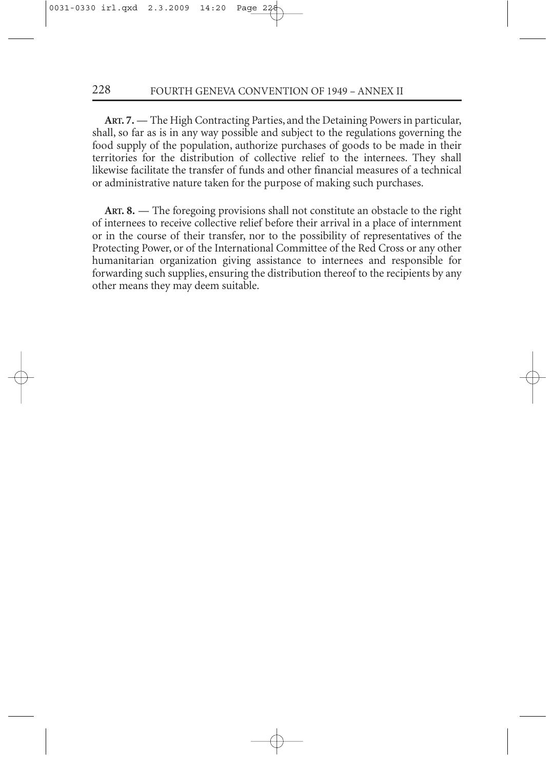**ART. 7.** — The High Contracting Parties, and the Detaining Powers in particular, shall, so far as is in any way possible and subject to the regulations governing the food supply of the population, authorize purchases of goods to be made in their territories for the distribution of collective relief to the internees. They shall likewise facilitate the transfer of funds and other financial measures of a technical or administrative nature taken for the purpose of making such purchases.

**ART. 8.** — The foregoing provisions shall not constitute an obstacle to the right of internees to receive collective relief before their arrival in a place of internment or in the course of their transfer, nor to the possibility of representatives of the Protecting Power, or of the International Committee of the Red Cross or any other humanitarian organization giving assistance to internees and responsible for forwarding such supplies, ensuring the distribution thereof to the recipients by any other means they may deem suitable.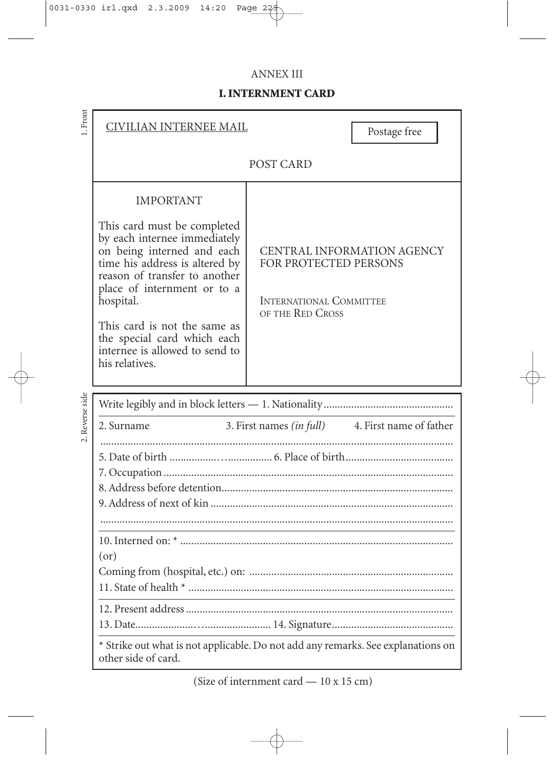# ANNEX III

# **I. INTERNMENT CARD**

| 1. Front        | <b>CIVILIAN INTERNEE MAIL</b>                                                                                                                                                                                                                                                                                                                   | Postage free                                                                                              |  |  |  |  |  |
|-----------------|-------------------------------------------------------------------------------------------------------------------------------------------------------------------------------------------------------------------------------------------------------------------------------------------------------------------------------------------------|-----------------------------------------------------------------------------------------------------------|--|--|--|--|--|
|                 | POST CARD                                                                                                                                                                                                                                                                                                                                       |                                                                                                           |  |  |  |  |  |
| 2. Reverse side | <b>IMPORTANT</b><br>This card must be completed<br>by each internee immediately<br>on being interned and each<br>time his address is altered by<br>reason of transfer to another<br>place of internment or to a<br>hospital.<br>This card is not the same as<br>the special card which each<br>internee is allowed to send to<br>his relatives. | CENTRAL INFORMATION AGENCY<br>FOR PROTECTED PERSONS<br><b>INTERNATIONAL COMMITTEE</b><br>OF THE RED CROSS |  |  |  |  |  |
|                 |                                                                                                                                                                                                                                                                                                                                                 |                                                                                                           |  |  |  |  |  |
|                 | 3. First names (in full) 4. First name of father<br>2. Surname<br>(or)                                                                                                                                                                                                                                                                          |                                                                                                           |  |  |  |  |  |
|                 |                                                                                                                                                                                                                                                                                                                                                 |                                                                                                           |  |  |  |  |  |
|                 |                                                                                                                                                                                                                                                                                                                                                 |                                                                                                           |  |  |  |  |  |
|                 | * Strike out what is not applicable. Do not add any remarks. See explanations on<br>other side of card.                                                                                                                                                                                                                                         |                                                                                                           |  |  |  |  |  |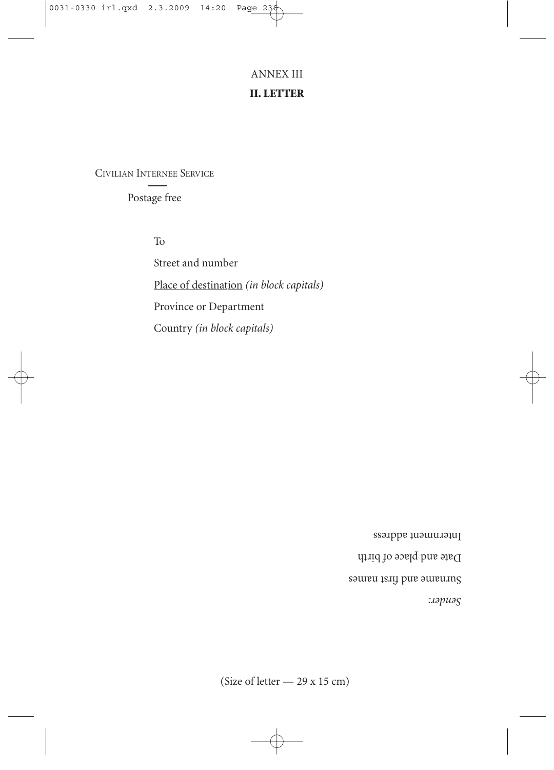# ANNEX III **II. LETTER**

CIVILIAN INTERNEE SERVICE

Postage free

To

Street and number Place of destination *(in block capitals)* Province or Department Country *(in block capitals)*

> *Sender:* Surname and first names Date and place of birth Internment address